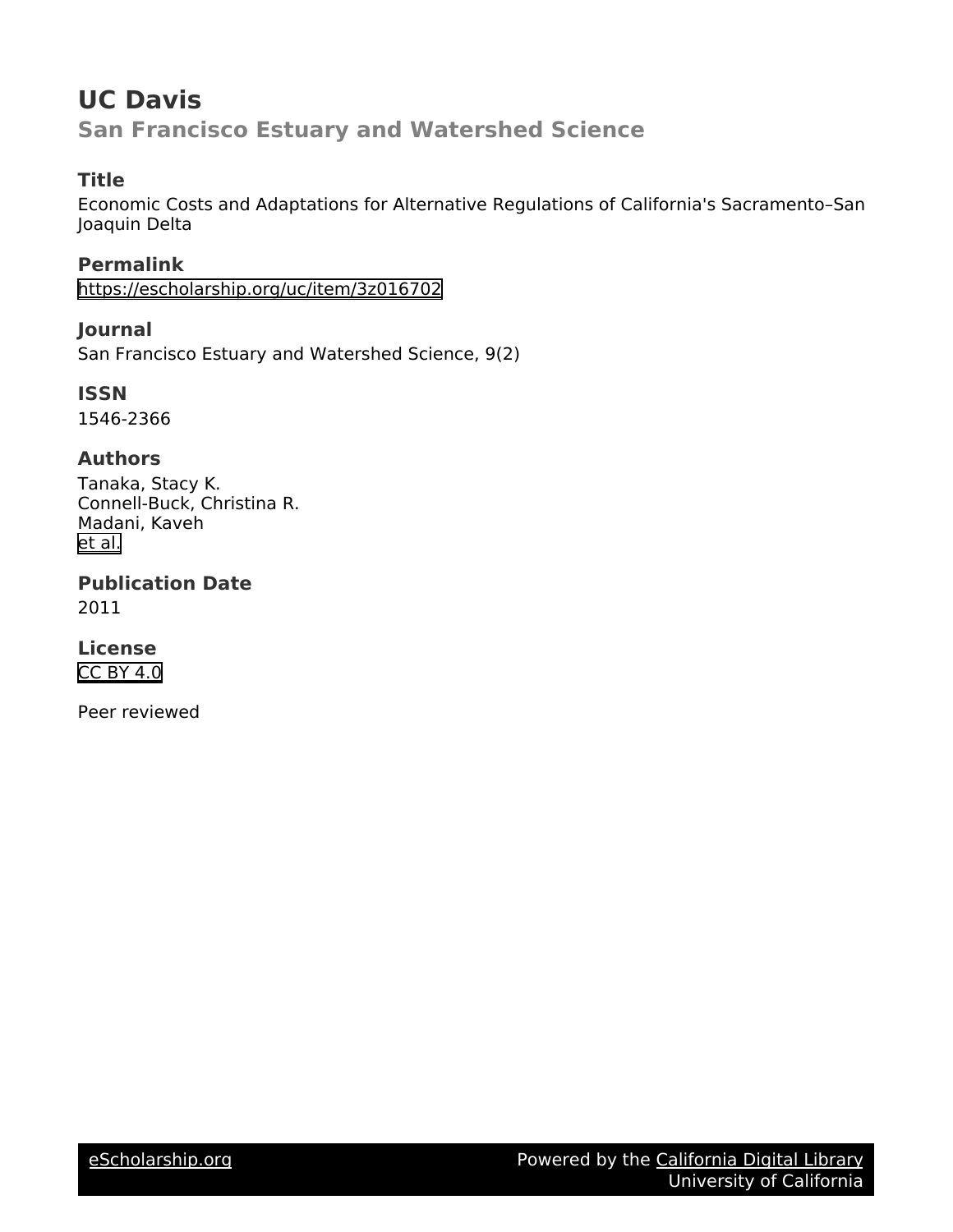# **UC Davis San Francisco Estuary and Watershed Science**

# **Title**

Economic Costs and Adaptations for Alternative Regulations of California's Sacramento–San Joaquin Delta

**Permalink** <https://escholarship.org/uc/item/3z016702>

**Journal** San Francisco Estuary and Watershed Science, 9(2)

**ISSN** 1546-2366

# **Authors**

Tanaka, Stacy K. Connell-Buck, Christina R. Madani, Kaveh [et al.](https://escholarship.org/uc/item/3z016702#author)

**Publication Date** 2011

**License** [CC BY 4.0](https://creativecommons.org/licenses/by/4.0)

Peer reviewed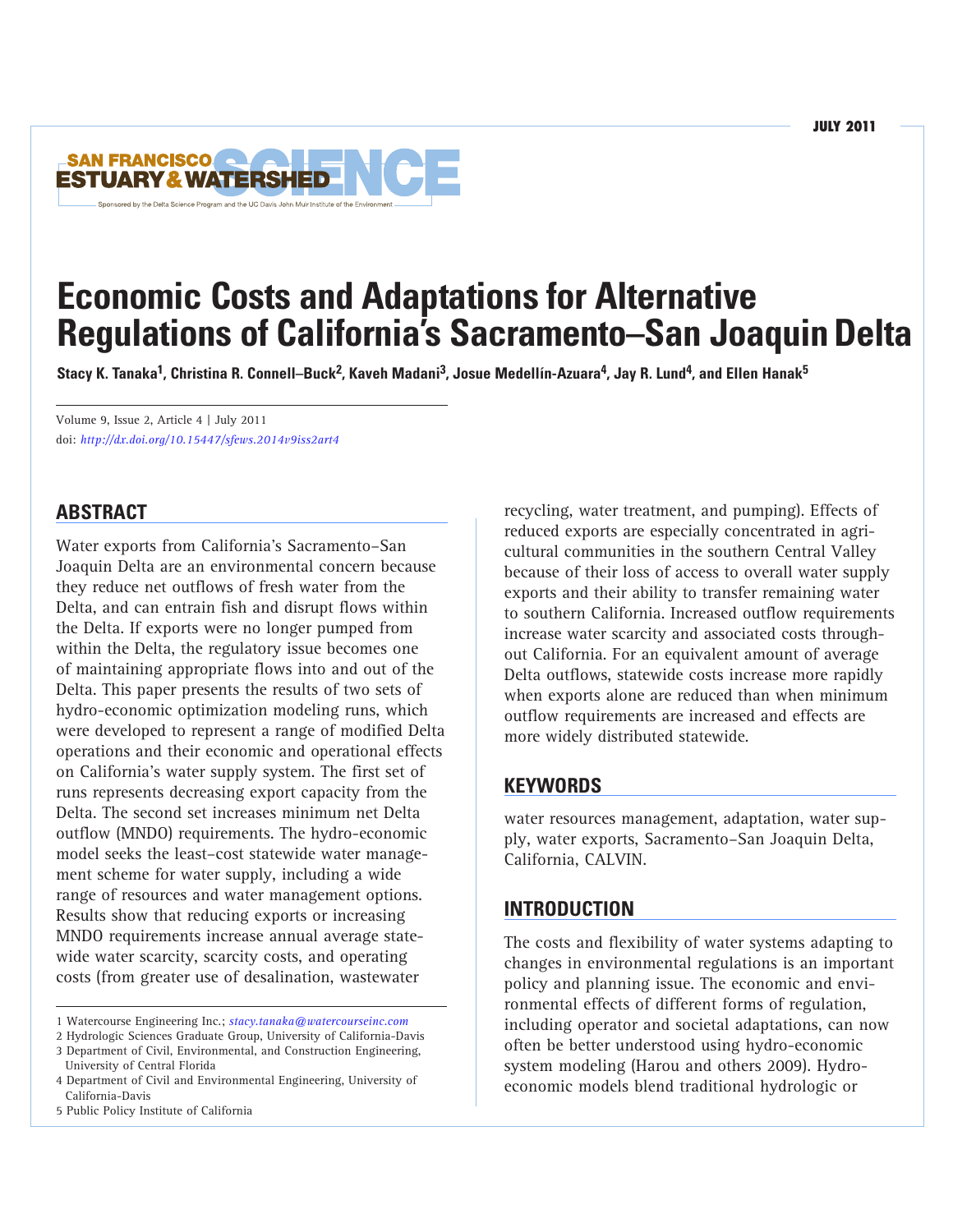

# **Economic Costs and Adaptations for Alternative Regulations of California's Sacramento–San JoaquinDelta**

Stacy K. Tanaka<sup>1</sup>, Christina R. Connell–Buck<sup>2</sup>, Kaveh Madani<sup>3</sup>, Josue Medellín-Azuara<sup>4</sup>, Jay R. Lund<sup>4</sup>, and Ellen Hanak<sup>5</sup>

Volume 9, Issue 2, Article 4 | July 2011 doi: *http://dx.doi.org/10.15447/sfews.2014v9iss2art4*

## **ABSTRACT**

Water exports from California's Sacramento–San Joaquin Delta are an environmental concern because they reduce net outflows of fresh water from the Delta, and can entrain fish and disrupt flows within the Delta. If exports were no longer pumped from within the Delta, the regulatory issue becomes one of maintaining appropriate flows into and out of the Delta. This paper presents the results of two sets of hydro-economic optimization modeling runs, which were developed to represent a range of modified Delta operations and their economic and operational effects on California's water supply system. The first set of runs represents decreasing export capacity from the Delta. The second set increases minimum net Delta outflow (MNDO) requirements. The hydro-economic model seeks the least–cost statewide water management scheme for water supply, including a wide range of resources and water management options. Results show that reducing exports or increasing MNDO requirements increase annual average statewide water scarcity, scarcity costs, and operating costs (from greater use of desalination, wastewater

recycling, water treatment, and pumping). Effects of reduced exports are especially concentrated in agricultural communities in the southern Central Valley because of their loss of access to overall water supply exports and their ability to transfer remaining water to southern California. Increased outflow requirements increase water scarcity and associated costs throughout California. For an equivalent amount of average Delta outflows, statewide costs increase more rapidly when exports alone are reduced than when minimum outflow requirements are increased and effects are more widely distributed statewide.

## **KEYWORDS**

water resources management, adaptation, water supply, water exports, Sacramento–San Joaquin Delta, California, CALVIN.

## **INTRODUCTION**

The costs and flexibility of water systems adapting to changes in environmental regulations is an important policy and planning issue. The economic and environmental effects of different forms of regulation, including operator and societal adaptations, can now often be better understood using hydro-economic system modeling (Harou and others 2009). Hydroeconomic models blend traditional hydrologic or

<sup>1</sup> Watercourse Engineering Inc.; *[stacy.tanaka@watercourseinc.com](mailto:stacy.tanaka@watercourseinc.com)*

<sup>2</sup> Hydrologic Sciences Graduate Group, University of California-Davis

<sup>3</sup> Department of Civil, Environmental, and Construction Engineering, University of Central Florida

<sup>4</sup> Department of Civil and Environmental Engineering, University of California-Davis

<sup>5</sup> Public Policy Institute of California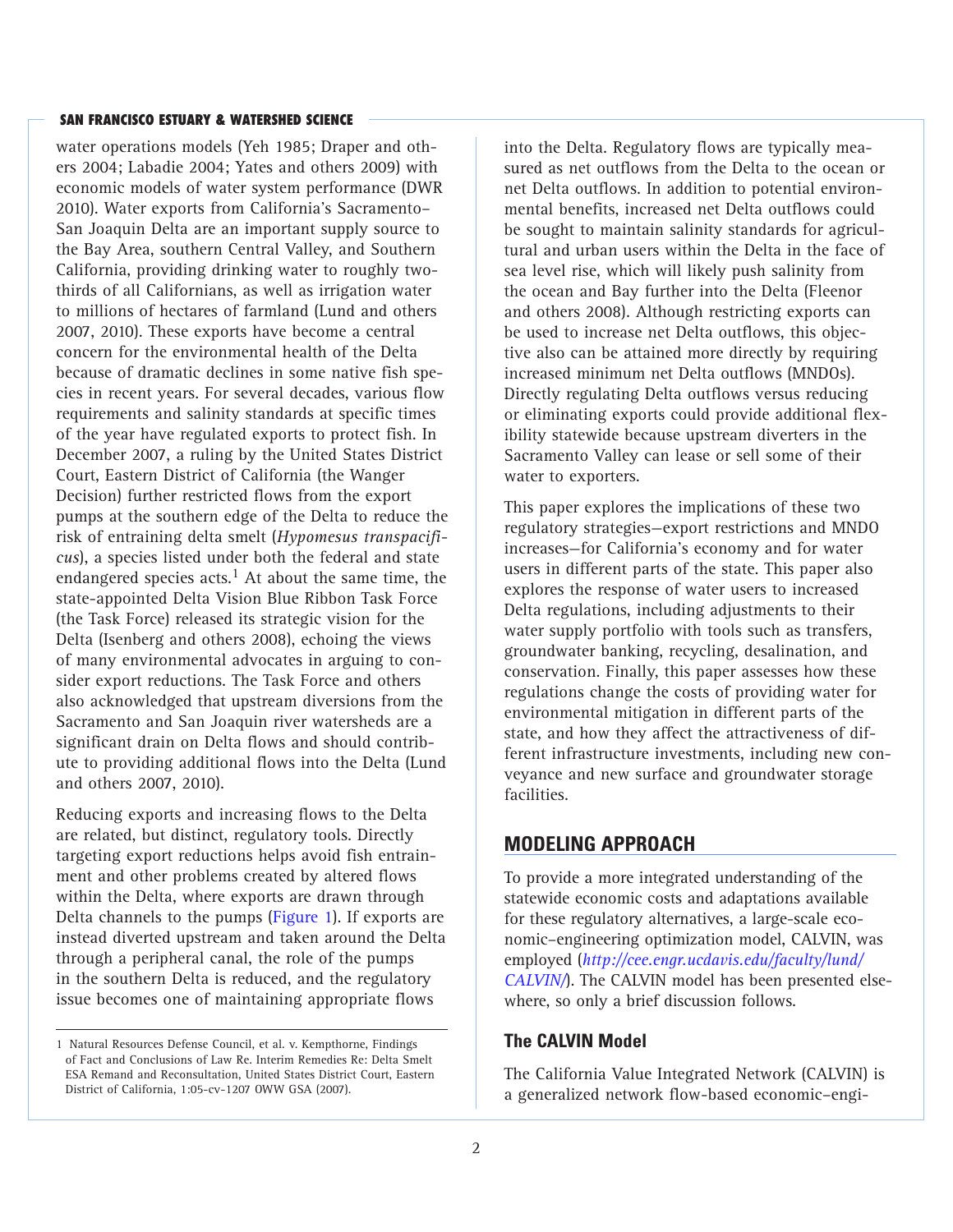water operations models (Yeh 1985; Draper and others 2004; Labadie 2004; Yates and others 2009) with economic models of water system performance (DWR 2010). Water exports from California's Sacramento– San Joaquin Delta are an important supply source to the Bay Area, southern Central Valley, and Southern California, providing drinking water to roughly twothirds of all Californians, as well as irrigation water to millions of hectares of farmland (Lund and others 2007, 2010). These exports have become a central concern for the environmental health of the Delta because of dramatic declines in some native fish species in recent years. For several decades, various flow requirements and salinity standards at specific times of the year have regulated exports to protect fish. In December 2007, a ruling by the United States District Court, Eastern District of California (the Wanger Decision) further restricted flows from the export pumps at the southern edge of the Delta to reduce the risk of entraining delta smelt (*Hypomesus transpacificus*), a species listed under both the federal and state endangered species acts.<sup>1</sup> At about the same time, the state-appointed Delta Vision Blue Ribbon Task Force (the Task Force) released its strategic vision for the Delta (Isenberg and others 2008), echoing the views of many environmental advocates in arguing to consider export reductions. The Task Force and others also acknowledged that upstream diversions from the Sacramento and San Joaquin river watersheds are a significant drain on Delta flows and should contribute to providing additional flows into the Delta (Lund and others 2007, 2010).

Reducing exports and increasing flows to the Delta are related, but distinct, regulatory tools. Directly targeting export reductions helps avoid fish entrainment and other problems created by altered flows within the Delta, where exports are drawn through Delta channels to the pumps (Figure 1). If exports are instead diverted upstream and taken around the Delta through a peripheral canal, the role of the pumps in the southern Delta is reduced, and the regulatory issue becomes one of maintaining appropriate flows

into the Delta. Regulatory flows are typically measured as net outflows from the Delta to the ocean or net Delta outflows. In addition to potential environmental benefits, increased net Delta outflows could be sought to maintain salinity standards for agricultural and urban users within the Delta in the face of sea level rise, which will likely push salinity from the ocean and Bay further into the Delta (Fleenor and others 2008). Although restricting exports can be used to increase net Delta outflows, this objective also can be attained more directly by requiring increased minimum net Delta outflows (MNDOs). Directly regulating Delta outflows versus reducing or eliminating exports could provide additional flexibility statewide because upstream diverters in the Sacramento Valley can lease or sell some of their water to exporters.

This paper explores the implications of these two regulatory strategies—export restrictions and MNDO increases—for California's economy and for water users in different parts of the state. This paper also explores the response of water users to increased Delta regulations, including adjustments to their water supply portfolio with tools such as transfers, groundwater banking, recycling, desalination, and conservation. Finally, this paper assesses how these regulations change the costs of providing water for environmental mitigation in different parts of the state, and how they affect the attractiveness of different infrastructure investments, including new conveyance and new surface and groundwater storage facilities.

## **MODELING APPROACH**

To provide a more integrated understanding of the statewide economic costs and adaptations available for these regulatory alternatives, a large-scale economic–engineering optimization model, CALVIN, was employed (*[http://cee.engr.ucdavis.edu/faculty/lund/](http://cee.engr.ucdavis.edu/faculty/lund/CALVIN/) [CALVIN/](http://cee.engr.ucdavis.edu/faculty/lund/CALVIN/)*). The CALVIN model has been presented elsewhere, so only a brief discussion follows.

#### **The CALVIN Model**

The California Value Integrated Network (CALVIN) is a generalized network flow-based economic–engi-

<sup>1</sup> Natural Resources Defense Council, et al. v. Kempthorne, Findings of Fact and Conclusions of Law Re. Interim Remedies Re: Delta Smelt ESA Remand and Reconsultation, United States District Court, Eastern District of California, 1:05-cv-1207 OWW GSA (2007).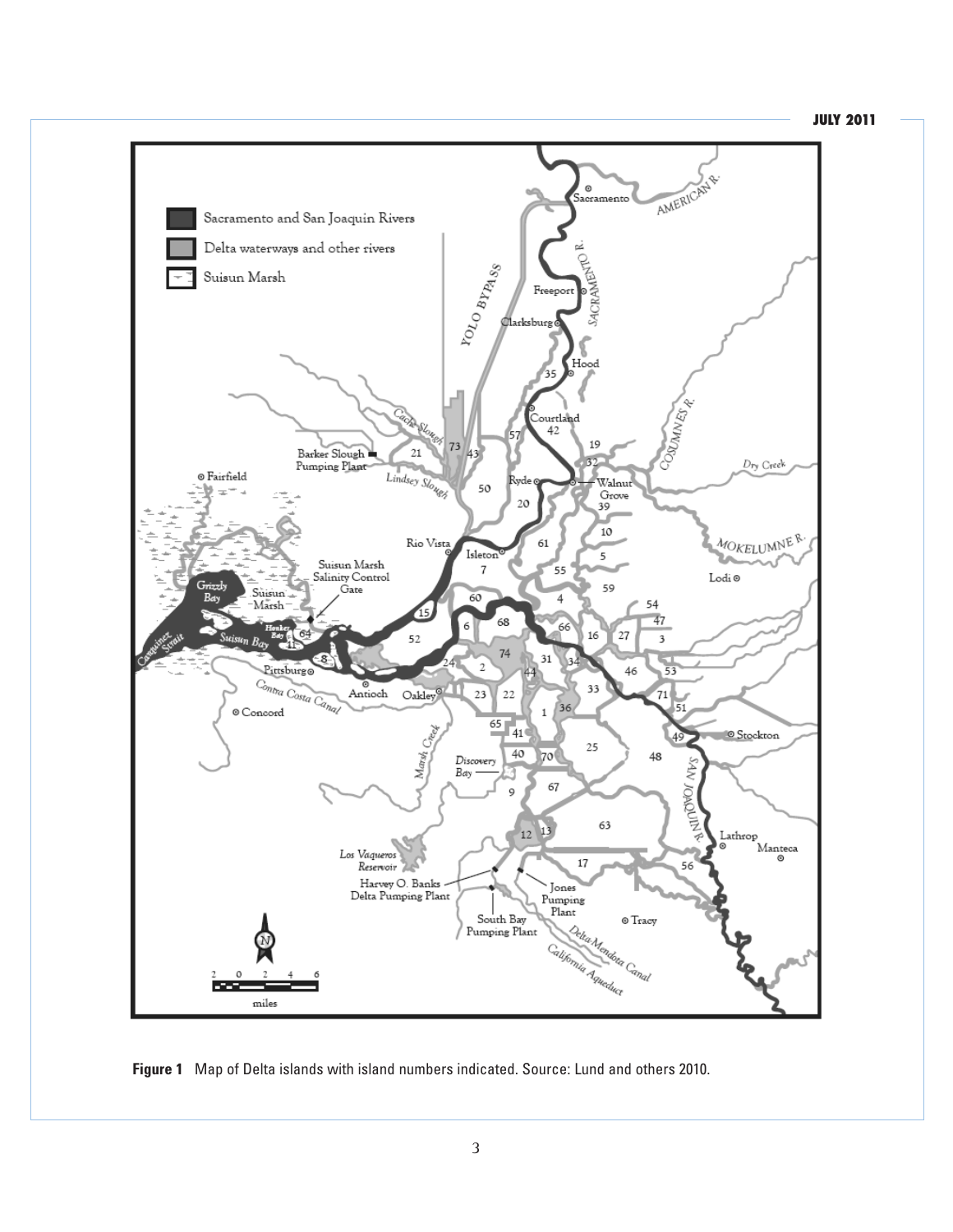#### **JULY 2011**



**Figure 1** Map of Delta islands with island numbers indicated. Source: Lund and others 2010.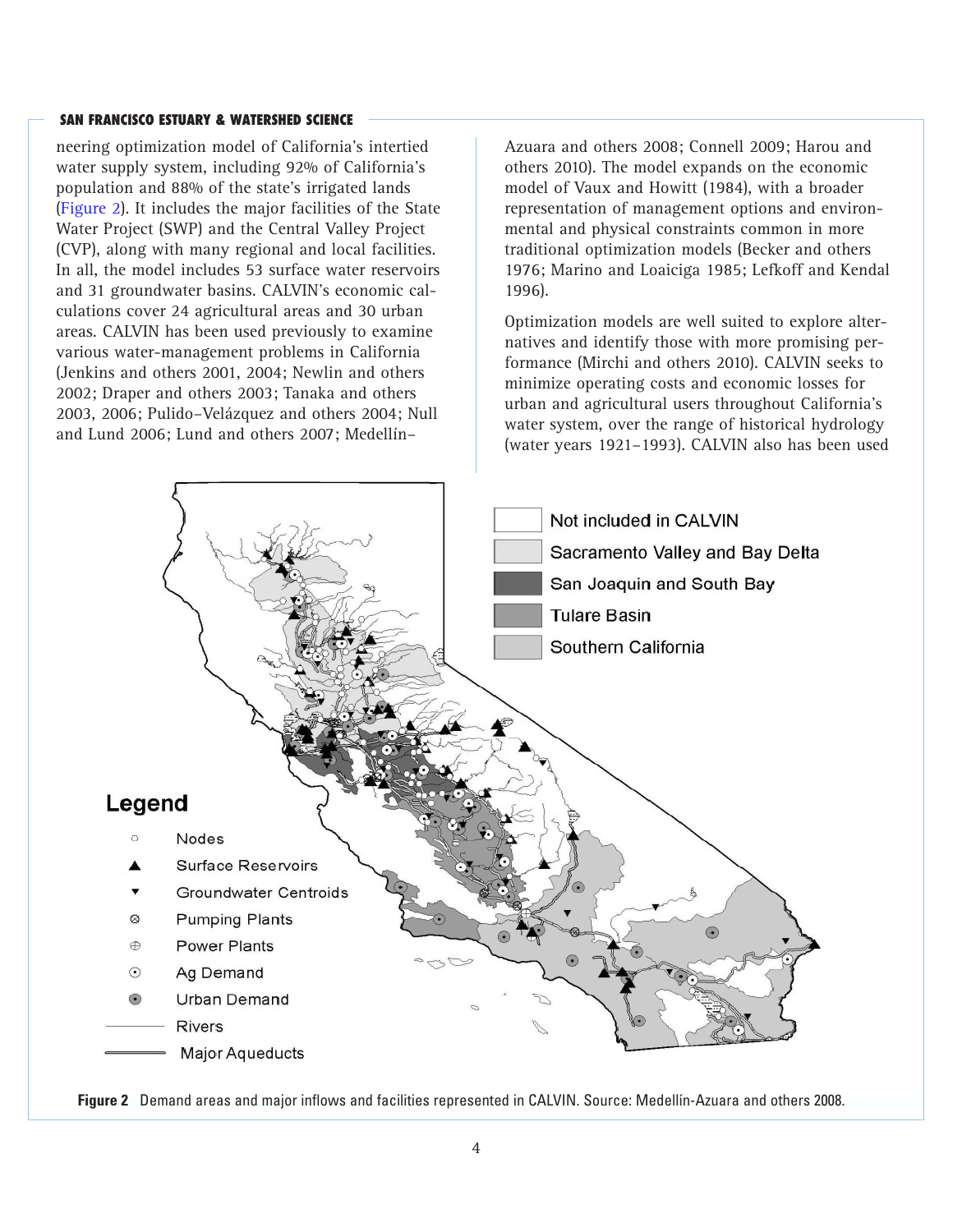neering optimization model of California's intertied water supply system, including 92% of California's population and 88% of the state's irrigated lands (Figure 2). It includes the major facilities of the State Water Project (SWP) and the Central Valley Project (CVP), along with many regional and local facilities. In all, the model includes 53 surface water reservoirs and 31 groundwater basins. CALVIN's economic calculations cover 24 agricultural areas and 30 urban areas. CALVIN has been used previously to examine various water-management problems in California (Jenkins and others 2001, 2004; Newlin and others 2002; Draper and others 2003; Tanaka and others 2003, 2006; Pulido–Velázquez and others 2004; Null and Lund 2006; Lund and others 2007; Medellín–

Azuara and others 2008; Connell 2009; Harou and others 2010). The model expands on the economic model of Vaux and Howitt (1984), with a broader representation of management options and environmental and physical constraints common in more traditional optimization models (Becker and others 1976; Marino and Loaiciga 1985; Lefkoff and Kendal 1996).

Optimization models are well suited to explore alternatives and identify those with more promising performance (Mirchi and others 2010). CALVIN seeks to minimize operating costs and economic losses for urban and agricultural users throughout California's water system, over the range of historical hydrology (water years 1921–1993). CALVIN also has been used



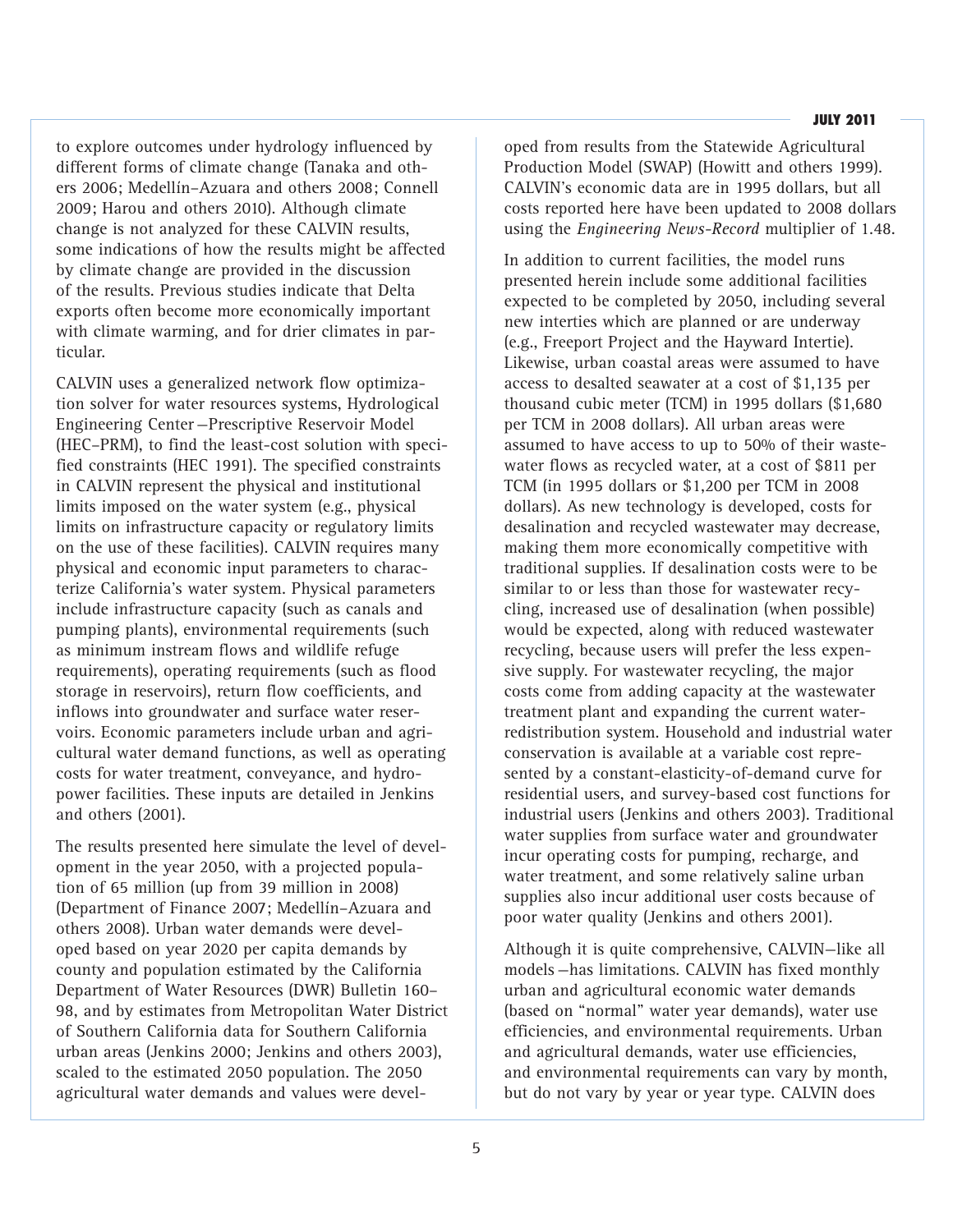#### **JULY 2011**

to explore outcomes under hydrology influenced by different forms of climate change (Tanaka and others 2006; Medellín–Azuara and others 2008; Connell 2009; Harou and others 2010). Although climate change is not analyzed for these CALVIN results, some indications of how the results might be affected by climate change are provided in the discussion of the results. Previous studies indicate that Delta exports often become more economically important with climate warming, and for drier climates in particular.

CALVIN uses a generalized network flow optimization solver for water resources systems, Hydrological Engineering Center—Prescriptive Reservoir Model (HEC–PRM), to find the least-cost solution with specified constraints (HEC 1991). The specified constraints in CALVIN represent the physical and institutional limits imposed on the water system (e.g., physical limits on infrastructure capacity or regulatory limits on the use of these facilities). CALVIN requires many physical and economic input parameters to characterize California's water system. Physical parameters include infrastructure capacity (such as canals and pumping plants), environmental requirements (such as minimum instream flows and wildlife refuge requirements), operating requirements (such as flood storage in reservoirs), return flow coefficients, and inflows into groundwater and surface water reservoirs. Economic parameters include urban and agricultural water demand functions, as well as operating costs for water treatment, conveyance, and hydropower facilities. These inputs are detailed in Jenkins and others (2001).

The results presented here simulate the level of development in the year 2050, with a projected population of 65 million (up from 39 million in 2008) (Department of Finance 2007; Medellín–Azuara and others 2008). Urban water demands were developed based on year 2020 per capita demands by county and population estimated by the California Department of Water Resources (DWR) Bulletin 160– 98, and by estimates from Metropolitan Water District of Southern California data for Southern California urban areas (Jenkins 2000; Jenkins and others 2003), scaled to the estimated 2050 population. The 2050 agricultural water demands and values were developed from results from the Statewide Agricultural Production Model (SWAP) (Howitt and others 1999). CALVIN's economic data are in 1995 dollars, but all costs reported here have been updated to 2008 dollars using the *Engineering News-Record* multiplier of 1.48.

In addition to current facilities, the model runs presented herein include some additional facilities expected to be completed by 2050, including several new interties which are planned or are underway (e.g., Freeport Project and the Hayward Intertie). Likewise, urban coastal areas were assumed to have access to desalted seawater at a cost of \$1,135 per thousand cubic meter (TCM) in 1995 dollars (\$1,680 per TCM in 2008 dollars). All urban areas were assumed to have access to up to 50% of their wastewater flows as recycled water, at a cost of \$811 per TCM (in 1995 dollars or \$1,200 per TCM in 2008 dollars). As new technology is developed, costs for desalination and recycled wastewater may decrease, making them more economically competitive with traditional supplies. If desalination costs were to be similar to or less than those for wastewater recycling, increased use of desalination (when possible) would be expected, along with reduced wastewater recycling, because users will prefer the less expensive supply. For wastewater recycling, the major costs come from adding capacity at the wastewater treatment plant and expanding the current waterredistribution system. Household and industrial water conservation is available at a variable cost represented by a constant-elasticity-of-demand curve for residential users, and survey-based cost functions for industrial users (Jenkins and others 2003). Traditional water supplies from surface water and groundwater incur operating costs for pumping, recharge, and water treatment, and some relatively saline urban supplies also incur additional user costs because of poor water quality (Jenkins and others 2001).

Although it is quite comprehensive, CALVIN—like all models—has limitations. CALVIN has fixed monthly urban and agricultural economic water demands (based on "normal" water year demands), water use efficiencies, and environmental requirements. Urban and agricultural demands, water use efficiencies, and environmental requirements can vary by month, but do not vary by year or year type. CALVIN does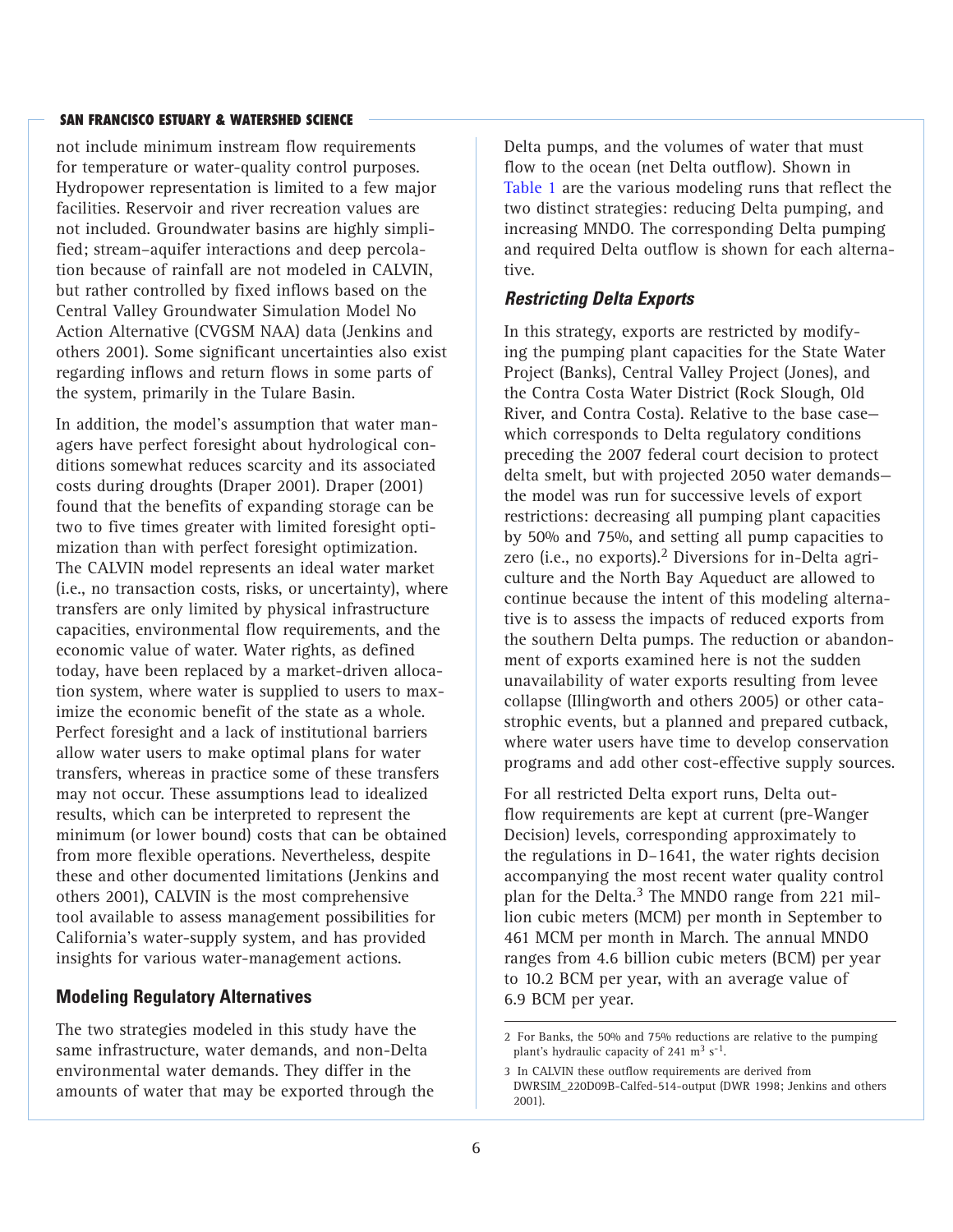not include minimum instream flow requirements for temperature or water-quality control purposes. Hydropower representation is limited to a few major facilities. Reservoir and river recreation values are not included. Groundwater basins are highly simplified; stream–aquifer interactions and deep percolation because of rainfall are not modeled in CALVIN, but rather controlled by fixed inflows based on the Central Valley Groundwater Simulation Model No Action Alternative (CVGSM NAA) data (Jenkins and others 2001). Some significant uncertainties also exist regarding inflows and return flows in some parts of the system, primarily in the Tulare Basin.

In addition, the model's assumption that water managers have perfect foresight about hydrological conditions somewhat reduces scarcity and its associated costs during droughts (Draper 2001). Draper (2001) found that the benefits of expanding storage can be two to five times greater with limited foresight optimization than with perfect foresight optimization. The CALVIN model represents an ideal water market (i.e., no transaction costs, risks, or uncertainty), where transfers are only limited by physical infrastructure capacities, environmental flow requirements, and the economic value of water. Water rights, as defined today, have been replaced by a market-driven allocation system, where water is supplied to users to maximize the economic benefit of the state as a whole. Perfect foresight and a lack of institutional barriers allow water users to make optimal plans for water transfers, whereas in practice some of these transfers may not occur. These assumptions lead to idealized results, which can be interpreted to represent the minimum (or lower bound) costs that can be obtained from more flexible operations. Nevertheless, despite these and other documented limitations (Jenkins and others 2001), CALVIN is the most comprehensive tool available to assess management possibilities for California's water-supply system, and has provided insights for various water-management actions.

## **Modeling Regulatory Alternatives**

The two strategies modeled in this study have the same infrastructure, water demands, and non-Delta environmental water demands. They differ in the amounts of water that may be exported through the Delta pumps, and the volumes of water that must flow to the ocean (net Delta outflow). Shown in Table 1 are the various modeling runs that reflect the two distinct strategies: reducing Delta pumping, and increasing MNDO. The corresponding Delta pumping and required Delta outflow is shown for each alternative.

## *Restricting Delta Exports*

In this strategy, exports are restricted by modifying the pumping plant capacities for the State Water Project (Banks), Central Valley Project (Jones), and the Contra Costa Water District (Rock Slough, Old River, and Contra Costa). Relative to the base case which corresponds to Delta regulatory conditions preceding the 2007 federal court decision to protect delta smelt, but with projected 2050 water demands the model was run for successive levels of export restrictions: decreasing all pumping plant capacities by 50% and 75%, and setting all pump capacities to zero (i.e., no exports).<sup>2</sup> Diversions for in-Delta agriculture and the North Bay Aqueduct are allowed to continue because the intent of this modeling alternative is to assess the impacts of reduced exports from the southern Delta pumps. The reduction or abandonment of exports examined here is not the sudden unavailability of water exports resulting from levee collapse (Illingworth and others 2005) or other catastrophic events, but a planned and prepared cutback, where water users have time to develop conservation programs and add other cost-effective supply sources.

For all restricted Delta export runs, Delta outflow requirements are kept at current (pre-Wanger Decision) levels, corresponding approximately to the regulations in D–1641, the water rights decision accompanying the most recent water quality control plan for the Delta. $3$  The MNDO range from 221 million cubic meters (MCM) per month in September to 461 MCM per month in March. The annual MNDO ranges from 4.6 billion cubic meters (BCM) per year to 10.2 BCM per year, with an average value of 6.9 BCM per year.

<sup>2</sup> For Banks, the 50% and 75% reductions are relative to the pumping plant's hydraulic capacity of 241  $\text{m}^3$  s<sup>-1</sup>.

<sup>3</sup> In CALVIN these outflow requirements are derived from DWRSIM\_220D09B-Calfed-514-output (DWR 1998; Jenkins and others 2001).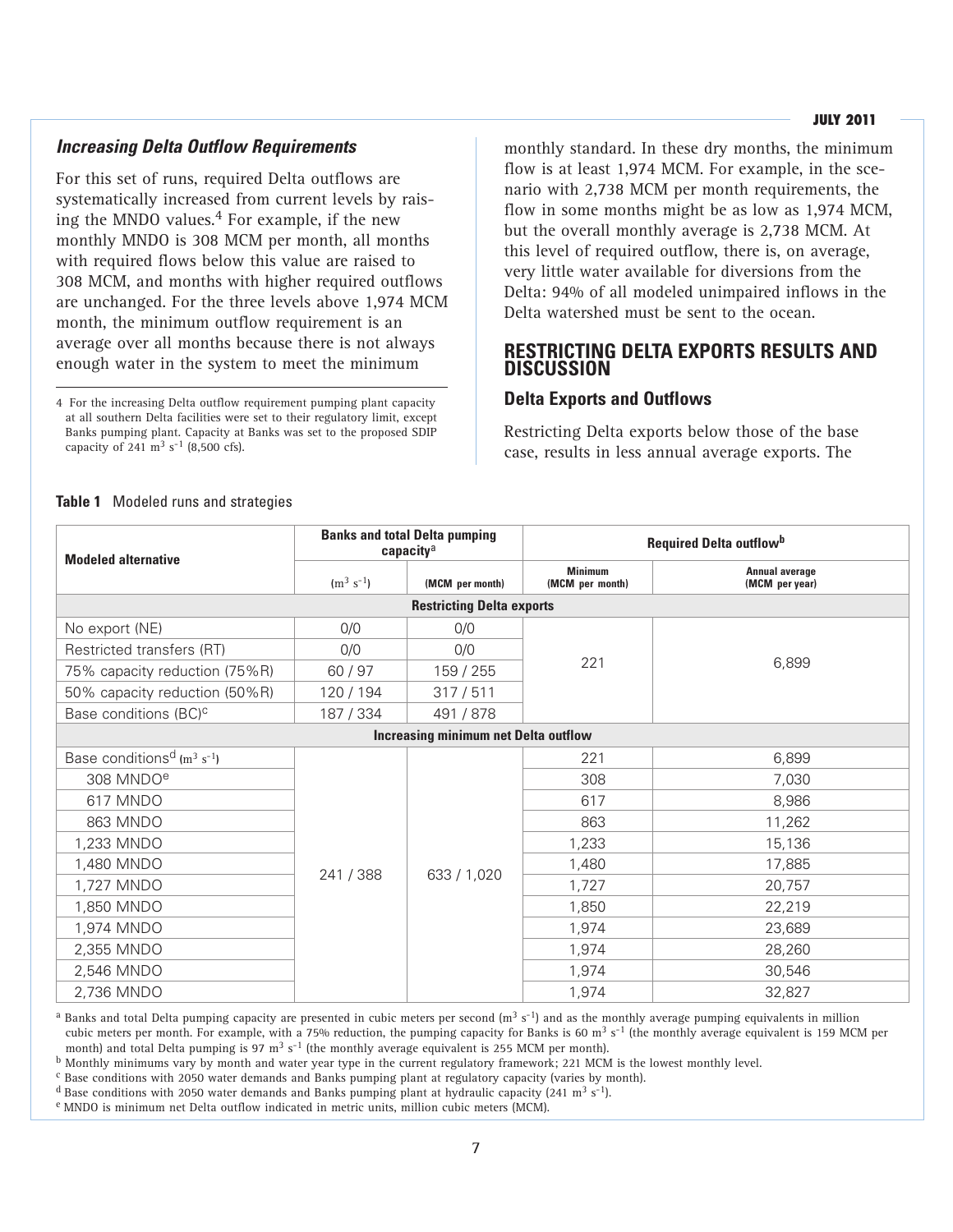#### **JULY 2011**

## *Increasing Delta Outflow Requirements*

For this set of runs, required Delta outflows are systematically increased from current levels by raising the MNDO values. $4$  For example, if the new monthly MNDO is 308 MCM per month, all months with required flows below this value are raised to 308 MCM, and months with higher required outflows are unchanged. For the three levels above 1,974 MCM month, the minimum outflow requirement is an average over all months because there is not always enough water in the system to meet the minimum

4 For the increasing Delta outflow requirement pumping plant capacity at all southern Delta facilities were set to their regulatory limit, except Banks pumping plant. Capacity at Banks was set to the proposed SDIP capacity of 241  $\text{m}^3$  s<sup>-1</sup> (8,500 cfs).

monthly standard. In these dry months, the minimum flow is at least 1,974 MCM. For example, in the scenario with 2,738 MCM per month requirements, the flow in some months might be as low as 1,974 MCM, but the overall monthly average is 2,738 MCM. At this level of required outflow, there is, on average, very little water available for diversions from the Delta: 94% of all modeled unimpaired inflows in the Delta watershed must be sent to the ocean.

## **RESTRICTING DELTA EXPORTS RESULTS AND DISCUSSION**

### **Delta Exports and Outflows**

Restricting Delta exports below those of the base case, results in less annual average exports. The

| <b>Modeled alternative</b>                             |                |                                                                                                                                                                                                                                                                                                                                                                                                                                     |                                         |        |
|--------------------------------------------------------|----------------|-------------------------------------------------------------------------------------------------------------------------------------------------------------------------------------------------------------------------------------------------------------------------------------------------------------------------------------------------------------------------------------------------------------------------------------|-----------------------------------------|--------|
|                                                        | $(m^3 s^{-1})$ | <b>Banks and total Delta pumping</b><br><b>Required Delta outflow</b> <sup>b</sup><br>capacity <sup>a</sup><br><b>Minimum</b><br>(MCM per month)<br>(MCM per month)<br><b>Restricting Delta exports</b><br>0/0<br>0/0<br>221<br>159 / 255<br>317/511<br>491 / 878<br><b>Increasing minimum net Delta outflow</b><br>221<br>308<br>617<br>863<br>1,233<br>1,480<br>633 / 1,020<br>1,727<br>1,850<br>1,974<br>1,974<br>1,974<br>1,974 | <b>Annual average</b><br>(MCM per year) |        |
|                                                        |                |                                                                                                                                                                                                                                                                                                                                                                                                                                     |                                         |        |
| No export (NE)                                         | 0/0            |                                                                                                                                                                                                                                                                                                                                                                                                                                     |                                         |        |
| Restricted transfers (RT)                              | 0/0            |                                                                                                                                                                                                                                                                                                                                                                                                                                     |                                         |        |
| 75% capacity reduction (75%R)                          | 60 / 97        |                                                                                                                                                                                                                                                                                                                                                                                                                                     |                                         | 6,899  |
| 50% capacity reduction (50%R)                          | 120 / 194      |                                                                                                                                                                                                                                                                                                                                                                                                                                     |                                         |        |
| Base conditions (BC) <sup>c</sup>                      | 187 / 334      |                                                                                                                                                                                                                                                                                                                                                                                                                                     |                                         |        |
|                                                        |                |                                                                                                                                                                                                                                                                                                                                                                                                                                     |                                         |        |
| Base conditions <sup>d</sup> ( $m^3$ s <sup>-1</sup> ) |                |                                                                                                                                                                                                                                                                                                                                                                                                                                     |                                         | 6,899  |
| 308 MNDO <sup>e</sup>                                  |                |                                                                                                                                                                                                                                                                                                                                                                                                                                     |                                         | 7,030  |
| 617 MNDO                                               |                |                                                                                                                                                                                                                                                                                                                                                                                                                                     |                                         | 8,986  |
| 863 MNDO                                               |                |                                                                                                                                                                                                                                                                                                                                                                                                                                     |                                         | 11,262 |
| 1,233 MNDO                                             |                |                                                                                                                                                                                                                                                                                                                                                                                                                                     |                                         | 15,136 |
| 1,480 MNDO                                             | 241 / 388      |                                                                                                                                                                                                                                                                                                                                                                                                                                     |                                         | 17,885 |
| 1,727 MNDO                                             |                |                                                                                                                                                                                                                                                                                                                                                                                                                                     |                                         | 20,757 |
| 1,850 MNDO                                             |                |                                                                                                                                                                                                                                                                                                                                                                                                                                     |                                         | 22,219 |
| 1,974 MNDO                                             |                |                                                                                                                                                                                                                                                                                                                                                                                                                                     |                                         | 23,689 |
| 2,355 MNDO                                             |                |                                                                                                                                                                                                                                                                                                                                                                                                                                     |                                         | 28,260 |
| 2,546 MNDO                                             |                |                                                                                                                                                                                                                                                                                                                                                                                                                                     |                                         | 30,546 |
| 2,736 MNDO                                             |                |                                                                                                                                                                                                                                                                                                                                                                                                                                     |                                         | 32,827 |

#### **Table 1** Modeled runs and strategies

<sup>a</sup> Banks and total Delta pumping capacity are presented in cubic meters per second  $(m^3 s^{-1})$  and as the monthly average pumping equivalents in million cubic meters per month. For example, with a 75% reduction, the pumping capacity for Banks is 60 m<sup>3</sup> s<sup>-1</sup> (the monthly average equivalent is 159 MCM per month) and total Delta pumping is 97 m<sup>3</sup> s<sup>-1</sup> (the monthly average equivalent is 255 MCM per month).

b Monthly minimums vary by month and water year type in the current regulatory framework; 221 MCM is the lowest monthly level.

c Base conditions with 2050 water demands and Banks pumping plant at regulatory capacity (varies by month).

<sup>d</sup> Base conditions with 2050 water demands and Banks pumping plant at hydraulic capacity (241 m<sup>3</sup> s<sup>-1</sup>).

e MNDO is minimum net Delta outflow indicated in metric units, million cubic meters (MCM).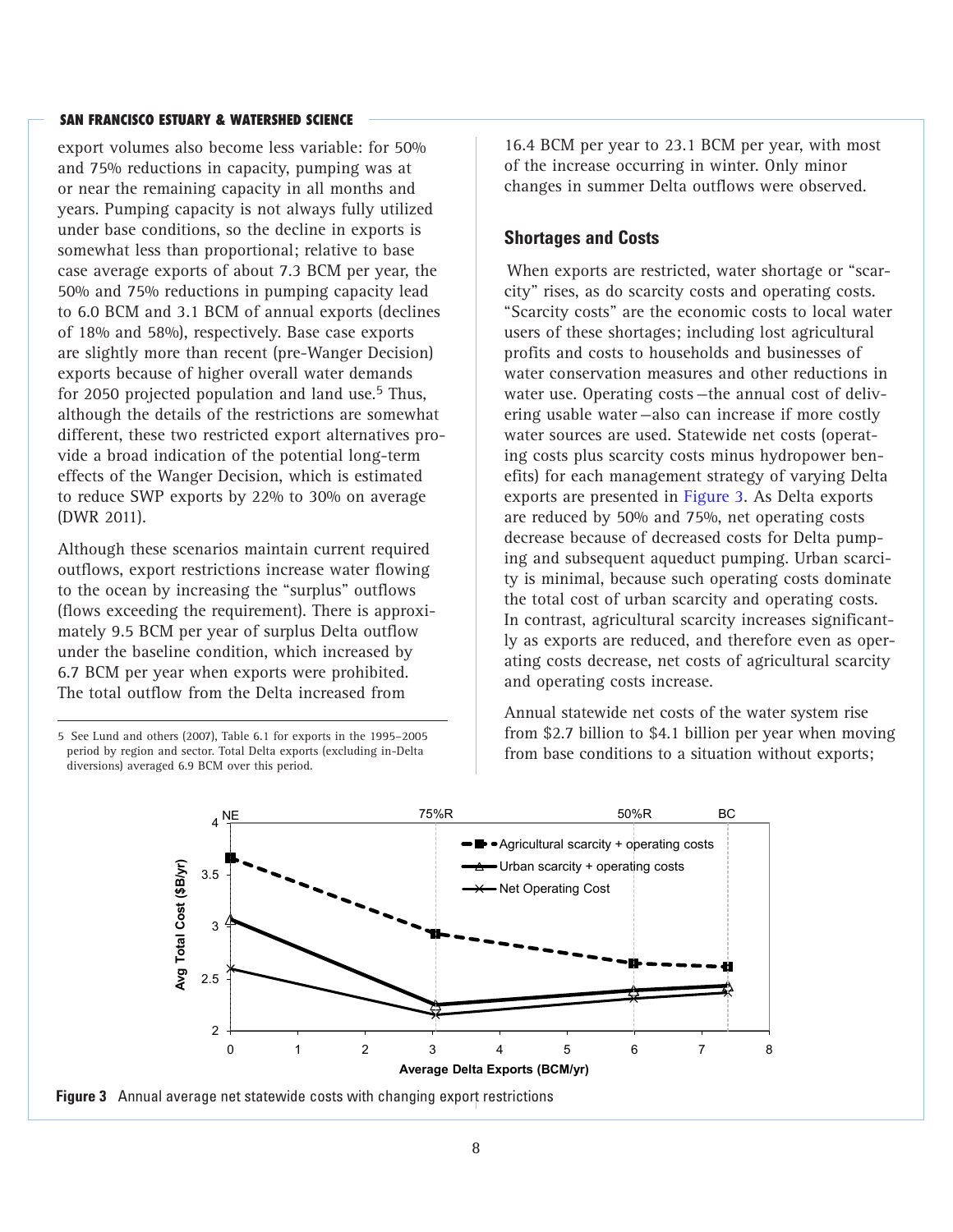export volumes also become less variable: for 50% and 75% reductions in capacity, pumping was at or near the remaining capacity in all months and years. Pumping capacity is not always fully utilized under base conditions, so the decline in exports is somewhat less than proportional; relative to base case average exports of about 7.3 BCM per year, the 50% and 75% reductions in pumping capacity lead to 6.0 BCM and 3.1 BCM of annual exports (declines of 18% and 58%), respectively. Base case exports are slightly more than recent (pre-Wanger Decision) exports because of higher overall water demands for 2050 projected population and land use.<sup>5</sup> Thus, although the details of the restrictions are somewhat different, these two restricted export alternatives provide a broad indication of the potential long-term effects of the Wanger Decision, which is estimated to reduce SWP exports by 22% to 30% on average (DWR 2011).

Although these scenarios maintain current required outflows, export restrictions increase water flowing to the ocean by increasing the "surplus" outflows (flows exceeding the requirement). There is approximately 9.5 BCM per year of surplus Delta outflow under the baseline condition, which increased by 6.7 BCM per year when exports were prohibited. The total outflow from the Delta increased from

5 See Lund and others (2007), Table 6.1 for exports in the 1995–2005 period by region and sector. Total Delta exports (excluding in-Delta diversions) averaged 6.9 BCM over this period.

16.4 BCM per year to 23.1 BCM per year, with most of the increase occurring in winter. Only minor changes in summer Delta outflows were observed.

#### **Shortages and Costs**

When exports are restricted, water shortage or "scarcity" rises, as do scarcity costs and operating costs. "Scarcity costs" are the economic costs to local water users of these shortages; including lost agricultural profits and costs to households and businesses of water conservation measures and other reductions in water use. Operating costs—the annual cost of delivering usable water—also can increase if more costly water sources are used. Statewide net costs (operating costs plus scarcity costs minus hydropower benefits) for each management strategy of varying Delta exports are presented in Figure 3. As Delta exports are reduced by 50% and 75%, net operating costs decrease because of decreased costs for Delta pumping and subsequent aqueduct pumping. Urban scarcity is minimal, because such operating costs dominate the total cost of urban scarcity and operating costs. In contrast, agricultural scarcity increases significantly as exports are reduced, and therefore even as operating costs decrease, net costs of agricultural scarcity and operating costs increase.

Annual statewide net costs of the water system rise from \$2.7 billion to \$4.1 billion per year when moving from base conditions to a situation without exports;



**Figure 3** Annual average net statewide costs with changing export restrictions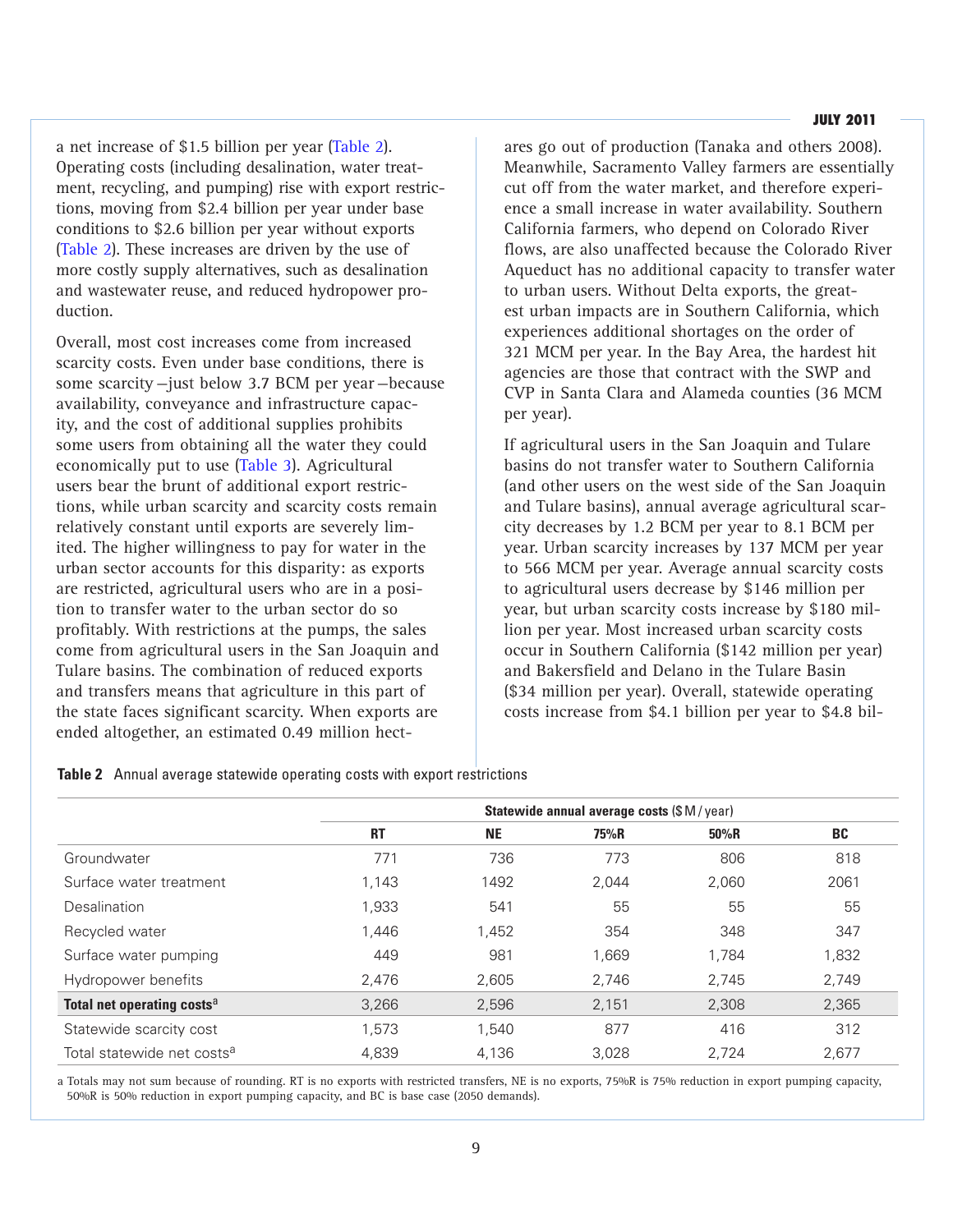#### **JULY 2011**

a net increase of \$1.5 billion per year (Table 2). Operating costs (including desalination, water treatment, recycling, and pumping) rise with export restrictions, moving from \$2.4 billion per year under base conditions to \$2.6 billion per year without exports (Table 2). These increases are driven by the use of more costly supply alternatives, such as desalination and wastewater reuse, and reduced hydropower production.

Overall, most cost increases come from increased scarcity costs. Even under base conditions, there is some scarcity—just below 3.7 BCM per year—because availability, conveyance and infrastructure capacity, and the cost of additional supplies prohibits some users from obtaining all the water they could economically put to use (Table 3). Agricultural users bear the brunt of additional export restrictions, while urban scarcity and scarcity costs remain relatively constant until exports are severely limited. The higher willingness to pay for water in the urban sector accounts for this disparity: as exports are restricted, agricultural users who are in a position to transfer water to the urban sector do so profitably. With restrictions at the pumps, the sales come from agricultural users in the San Joaquin and Tulare basins. The combination of reduced exports and transfers means that agriculture in this part of the state faces significant scarcity. When exports are ended altogether, an estimated 0.49 million hectares go out of production (Tanaka and others 2008). Meanwhile, Sacramento Valley farmers are essentially cut off from the water market, and therefore experience a small increase in water availability. Southern California farmers, who depend on Colorado River flows, are also unaffected because the Colorado River Aqueduct has no additional capacity to transfer water to urban users. Without Delta exports, the greatest urban impacts are in Southern California, which experiences additional shortages on the order of 321 MCM per year. In the Bay Area, the hardest hit agencies are those that contract with the SWP and CVP in Santa Clara and Alameda counties (36 MCM per year).

If agricultural users in the San Joaquin and Tulare basins do not transfer water to Southern California (and other users on the west side of the San Joaquin and Tulare basins), annual average agricultural scarcity decreases by 1.2 BCM per year to 8.1 BCM per year. Urban scarcity increases by 137 MCM per year to 566 MCM per year. Average annual scarcity costs to agricultural users decrease by \$146 million per year, but urban scarcity costs increase by \$180 million per year. Most increased urban scarcity costs occur in Southern California (\$142 million per year) and Bakersfield and Delano in the Tulare Basin (\$34 million per year). Overall, statewide operating costs increase from \$4.1 billion per year to \$4.8 bil-

|                                        | Statewide annual average costs (\$M/year) |           |       |       |           |  |  |  |  |
|----------------------------------------|-------------------------------------------|-----------|-------|-------|-----------|--|--|--|--|
|                                        | <b>RT</b>                                 | <b>NE</b> | 75%R  | 50%R  | <b>BC</b> |  |  |  |  |
| Groundwater                            | 771                                       | 736       | 773   | 806   | 818       |  |  |  |  |
| Surface water treatment                | 1,143                                     | 1492      | 2.044 | 2,060 | 2061      |  |  |  |  |
| <b>Desalination</b>                    | 1,933                                     | 541       | 55    | 55    | 55        |  |  |  |  |
| Recycled water                         | 1,446                                     | 1,452     | 354   | 348   | 347       |  |  |  |  |
| Surface water pumping                  | 449                                       | 981       | 1,669 | 1.784 | 1,832     |  |  |  |  |
| Hydropower benefits                    | 2,476                                     | 2,605     | 2,746 | 2,745 | 2,749     |  |  |  |  |
| Total net operating costs <sup>a</sup> | 3,266                                     | 2,596     | 2,151 | 2,308 | 2,365     |  |  |  |  |
| Statewide scarcity cost                | 1,573                                     | 1,540     | 877   | 416   | 312       |  |  |  |  |
| Total statewide net costs <sup>a</sup> | 4,839                                     | 4.136     | 3.028 | 2.724 | 2,677     |  |  |  |  |

**Table 2** Annual average statewide operating costs with export restrictions

a Totals may not sum because of rounding. RT is no exports with restricted transfers, NE is no exports, 75%R is 75% reduction in export pumping capacity, 50%R is 50% reduction in export pumping capacity, and BC is base case (2050 demands).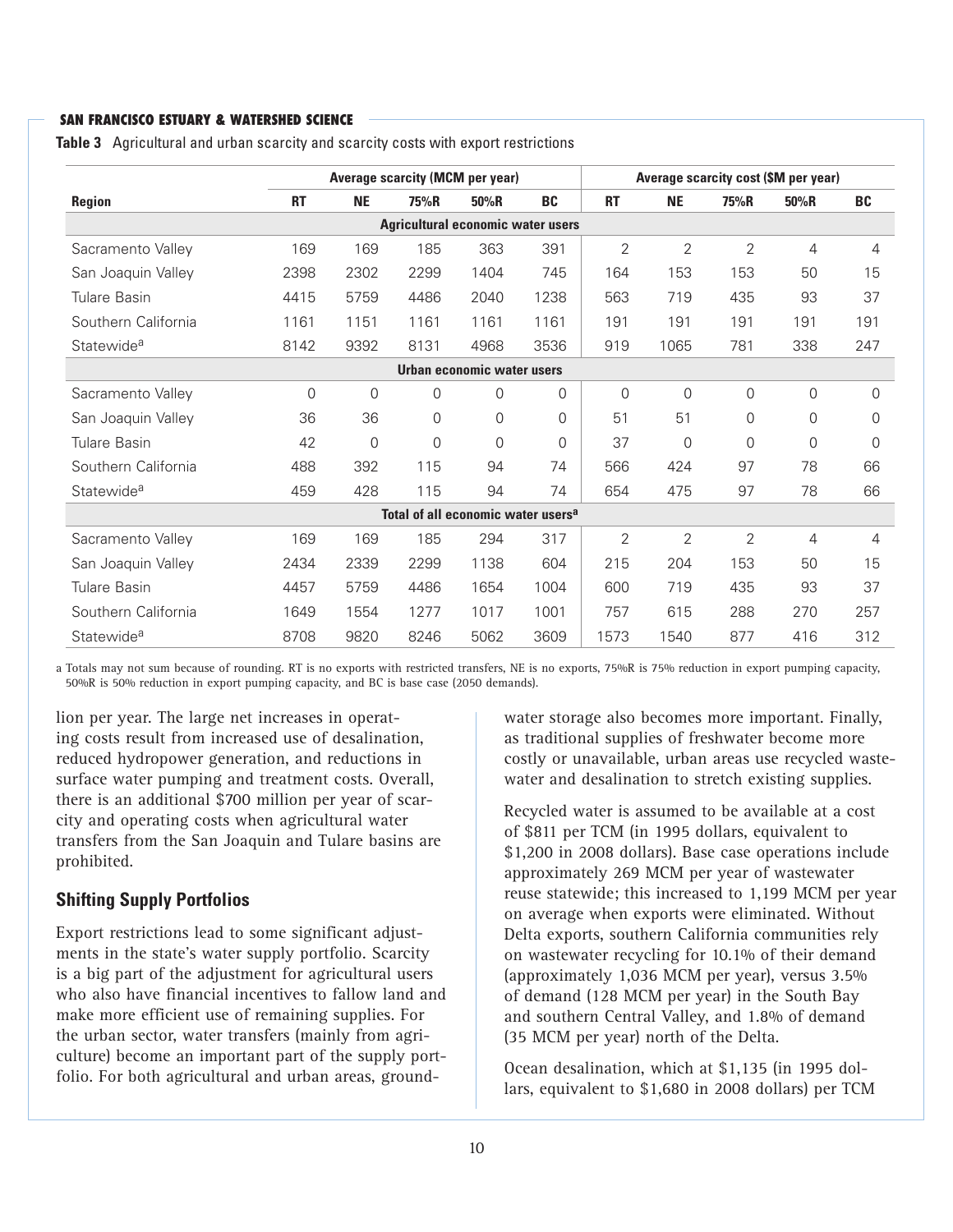|                        |           |                | Average scarcity (MCM per year)                |                            |           |                |                |                | Average scarcity cost (\$M per year) |           |
|------------------------|-----------|----------------|------------------------------------------------|----------------------------|-----------|----------------|----------------|----------------|--------------------------------------|-----------|
| <b>Region</b>          | <b>RT</b> | <b>NE</b>      | 75%R                                           | 50%R                       | <b>BC</b> | <b>RT</b>      | <b>NE</b>      | 75%R           | 50%R                                 | <b>BC</b> |
|                        |           |                | Agricultural economic water users              |                            |           |                |                |                |                                      |           |
| Sacramento Valley      | 169       | 169            | 185                                            | 363                        | 391       | $\overline{2}$ | $\overline{2}$ | $\overline{2}$ | 4                                    | 4         |
| San Joaquin Valley     | 2398      | 2302           | 2299                                           | 1404                       | 745       | 164            | 153            | 153            | 50                                   | 15        |
| Tulare Basin           | 4415      | 5759           | 4486                                           | 2040                       | 1238      | 563            | 719            | 435            | 93                                   | 37        |
| Southern California    | 1161      | 1151           | 1161                                           | 1161                       | 1161      | 191            | 191            | 191            | 191                                  | 191       |
| Statewide <sup>a</sup> | 8142      | 9392           | 8131                                           | 4968                       | 3536      | 919            | 1065           | 781            | 338                                  | 247       |
|                        |           |                |                                                | Urban economic water users |           |                |                |                |                                      |           |
| Sacramento Valley      | $\Omega$  | $\Omega$       | 0                                              | 0                          | 0         | $\Omega$       | $\Omega$       | $\Omega$       | 0                                    | 0         |
| San Joaquin Valley     | 36        | 36             | 0                                              | 0                          | $\Omega$  | 51             | 51             | $\Omega$       | 0                                    | 0         |
| <b>Tulare Basin</b>    | 42        | $\overline{0}$ | 0                                              | $\Omega$                   | 0         | 37             | $\overline{0}$ | $\Omega$       | $\Omega$                             | $\Omega$  |
| Southern California    | 488       | 392            | 115                                            | 94                         | 74        | 566            | 424            | 97             | 78                                   | 66        |
| Statewide <sup>a</sup> | 459       | 428            | 115                                            | 94                         | 74        | 654            | 475            | 97             | 78                                   | 66        |
|                        |           |                | Total of all economic water users <sup>a</sup> |                            |           |                |                |                |                                      |           |
| Sacramento Valley      | 169       | 169            | 185                                            | 294                        | 317       | 2              | 2              | 2              | 4                                    | 4         |
| San Joaquin Valley     | 2434      | 2339           | 2299                                           | 1138                       | 604       | 215            | 204            | 153            | 50                                   | 15        |
| Tulare Basin           | 4457      | 5759           | 4486                                           | 1654                       | 1004      | 600            | 719            | 435            | 93                                   | 37        |
| Southern California    | 1649      | 1554           | 1277                                           | 1017                       | 1001      | 757            | 615            | 288            | 270                                  | 257       |
| Statewide <sup>a</sup> | 8708      | 9820           | 8246                                           | 5062                       | 3609      | 1573           | 1540           | 877            | 416                                  | 312       |

**Table 3** Agricultural and urban scarcity and scarcity costs with export restrictions

a Totals may not sum because of rounding. RT is no exports with restricted transfers, NE is no exports, 75%R is 75% reduction in export pumping capacity, 50%R is 50% reduction in export pumping capacity, and BC is base case (2050 demands).

lion per year. The large net increases in operating costs result from increased use of desalination, reduced hydropower generation, and reductions in surface water pumping and treatment costs. Overall, there is an additional \$700 million per year of scarcity and operating costs when agricultural water transfers from the San Joaquin and Tulare basins are prohibited.

## **Shifting Supply Portfolios**

Export restrictions lead to some significant adjustments in the state's water supply portfolio. Scarcity is a big part of the adjustment for agricultural users who also have financial incentives to fallow land and make more efficient use of remaining supplies. For the urban sector, water transfers (mainly from agriculture) become an important part of the supply portfolio. For both agricultural and urban areas, groundwater storage also becomes more important. Finally, as traditional supplies of freshwater become more costly or unavailable, urban areas use recycled wastewater and desalination to stretch existing supplies.

Recycled water is assumed to be available at a cost of \$811 per TCM (in 1995 dollars, equivalent to \$1,200 in 2008 dollars). Base case operations include approximately 269 MCM per year of wastewater reuse statewide; this increased to 1,199 MCM per year on average when exports were eliminated. Without Delta exports, southern California communities rely on wastewater recycling for 10.1% of their demand (approximately 1,036 MCM per year), versus 3.5% of demand (128 MCM per year) in the South Bay and southern Central Valley, and 1.8% of demand (35 MCM per year) north of the Delta.

Ocean desalination, which at \$1,135 (in 1995 dollars, equivalent to \$1,680 in 2008 dollars) per TCM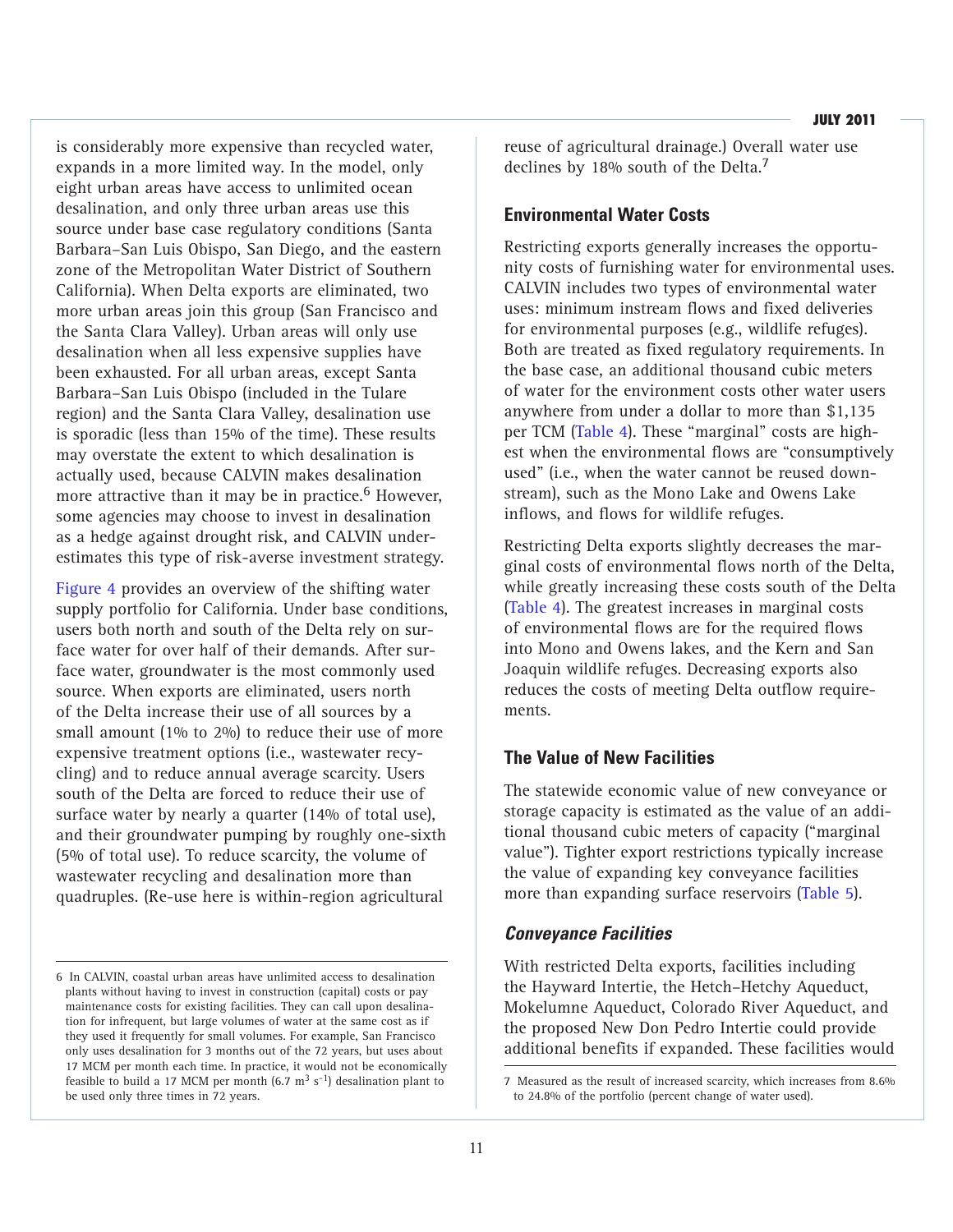is considerably more expensive than recycled water, expands in a more limited way. In the model, only eight urban areas have access to unlimited ocean desalination, and only three urban areas use this source under base case regulatory conditions (Santa Barbara–San Luis Obispo, San Diego, and the eastern zone of the Metropolitan Water District of Southern California). When Delta exports are eliminated, two more urban areas join this group (San Francisco and the Santa Clara Valley). Urban areas will only use desalination when all less expensive supplies have been exhausted. For all urban areas, except Santa Barbara–San Luis Obispo (included in the Tulare region) and the Santa Clara Valley, desalination use is sporadic (less than 15% of the time). These results may overstate the extent to which desalination is actually used, because CALVIN makes desalination more attractive than it may be in practice.<sup>6</sup> However, some agencies may choose to invest in desalination as a hedge against drought risk, and CALVIN underestimates this type of risk-averse investment strategy.

Figure 4 provides an overview of the shifting water supply portfolio for California. Under base conditions, users both north and south of the Delta rely on surface water for over half of their demands. After surface water, groundwater is the most commonly used source. When exports are eliminated, users north of the Delta increase their use of all sources by a small amount (1% to 2%) to reduce their use of more expensive treatment options (i.e., wastewater recycling) and to reduce annual average scarcity. Users south of the Delta are forced to reduce their use of surface water by nearly a quarter (14% of total use), and their groundwater pumping by roughly one-sixth (5% of total use). To reduce scarcity, the volume of wastewater recycling and desalination more than quadruples. (Re-use here is within-region agricultural

reuse of agricultural drainage.) Overall water use declines by 18% south of the Delta.<sup>7</sup>

#### **Environmental Water Costs**

Restricting exports generally increases the opportunity costs of furnishing water for environmental uses. CALVIN includes two types of environmental water uses: minimum instream flows and fixed deliveries for environmental purposes (e.g., wildlife refuges). Both are treated as fixed regulatory requirements. In the base case, an additional thousand cubic meters of water for the environment costs other water users anywhere from under a dollar to more than \$1,135 per TCM (Table 4). These "marginal" costs are highest when the environmental flows are "consumptively used" (i.e., when the water cannot be reused downstream), such as the Mono Lake and Owens Lake inflows, and flows for wildlife refuges.

Restricting Delta exports slightly decreases the marginal costs of environmental flows north of the Delta, while greatly increasing these costs south of the Delta (Table 4). The greatest increases in marginal costs of environmental flows are for the required flows into Mono and Owens lakes, and the Kern and San Joaquin wildlife refuges. Decreasing exports also reduces the costs of meeting Delta outflow requirements.

## **The Value of New Facilities**

The statewide economic value of new conveyance or storage capacity is estimated as the value of an additional thousand cubic meters of capacity ("marginal value"). Tighter export restrictions typically increase the value of expanding key conveyance facilities more than expanding surface reservoirs (Table 5).

#### *Conveyance Facilities*

With restricted Delta exports, facilities including the Hayward Intertie, the Hetch–Hetchy Aqueduct, Mokelumne Aqueduct, Colorado River Aqueduct, and the proposed New Don Pedro Intertie could provide additional benefits if expanded. These facilities would

<sup>6</sup> In CALVIN, coastal urban areas have unlimited access to desalination plants without having to invest in construction (capital) costs or pay maintenance costs for existing facilities. They can call upon desalination for infrequent, but large volumes of water at the same cost as if they used it frequently for small volumes. For example, San Francisco only uses desalination for 3 months out of the 72 years, but uses about 17 MCM per month each time. In practice, it would not be economically feasible to build a 17 MCM per month  $(6.7 \text{ m}^3 \text{ s}^{-1})$  desalination plant to be used only three times in 72 years.

<sup>7</sup> Measured as the result of increased scarcity, which increases from 8.6% to 24.8% of the portfolio (percent change of water used).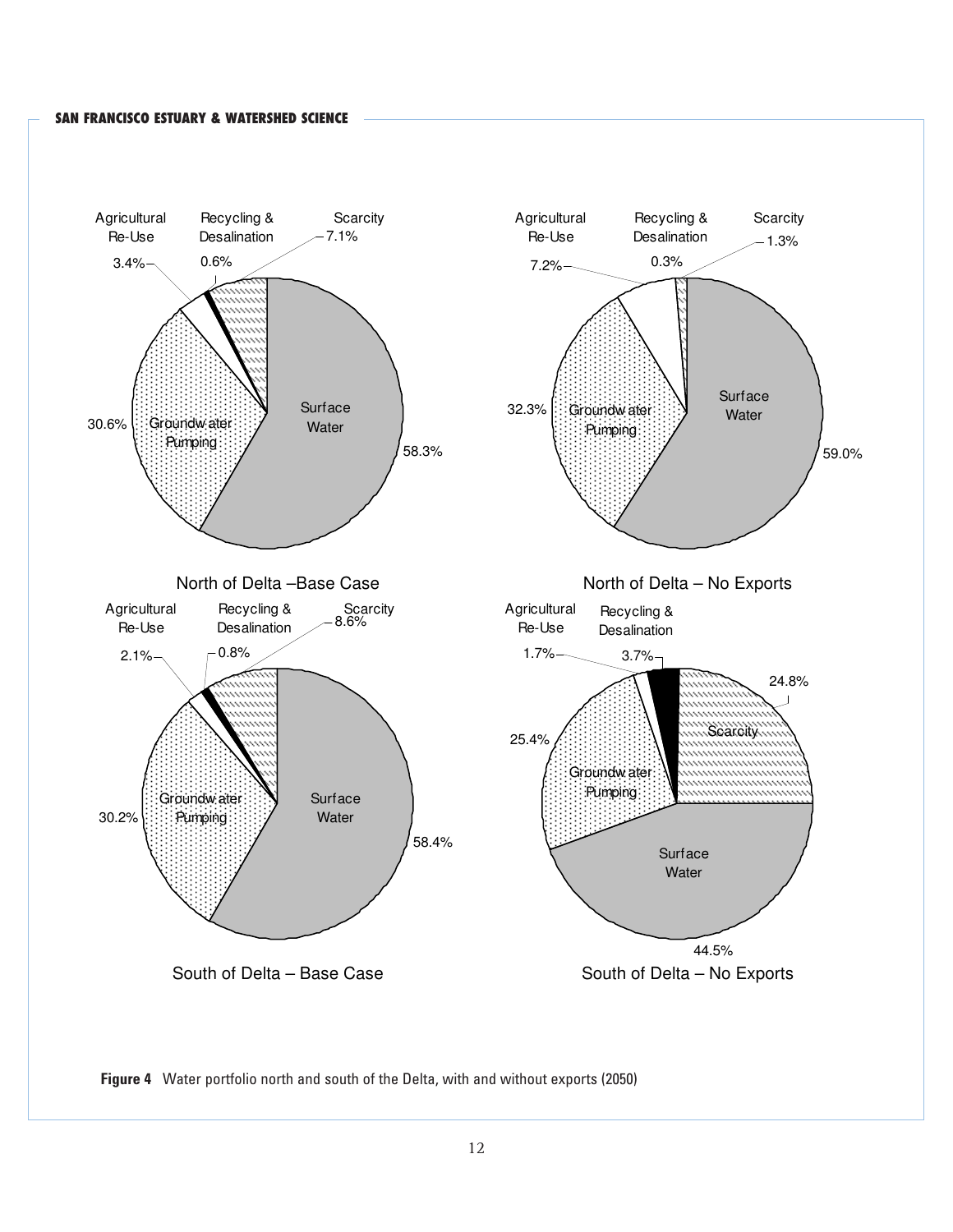

**Figure 4** Water portfolio north and south of the Delta, with and without exports (2050)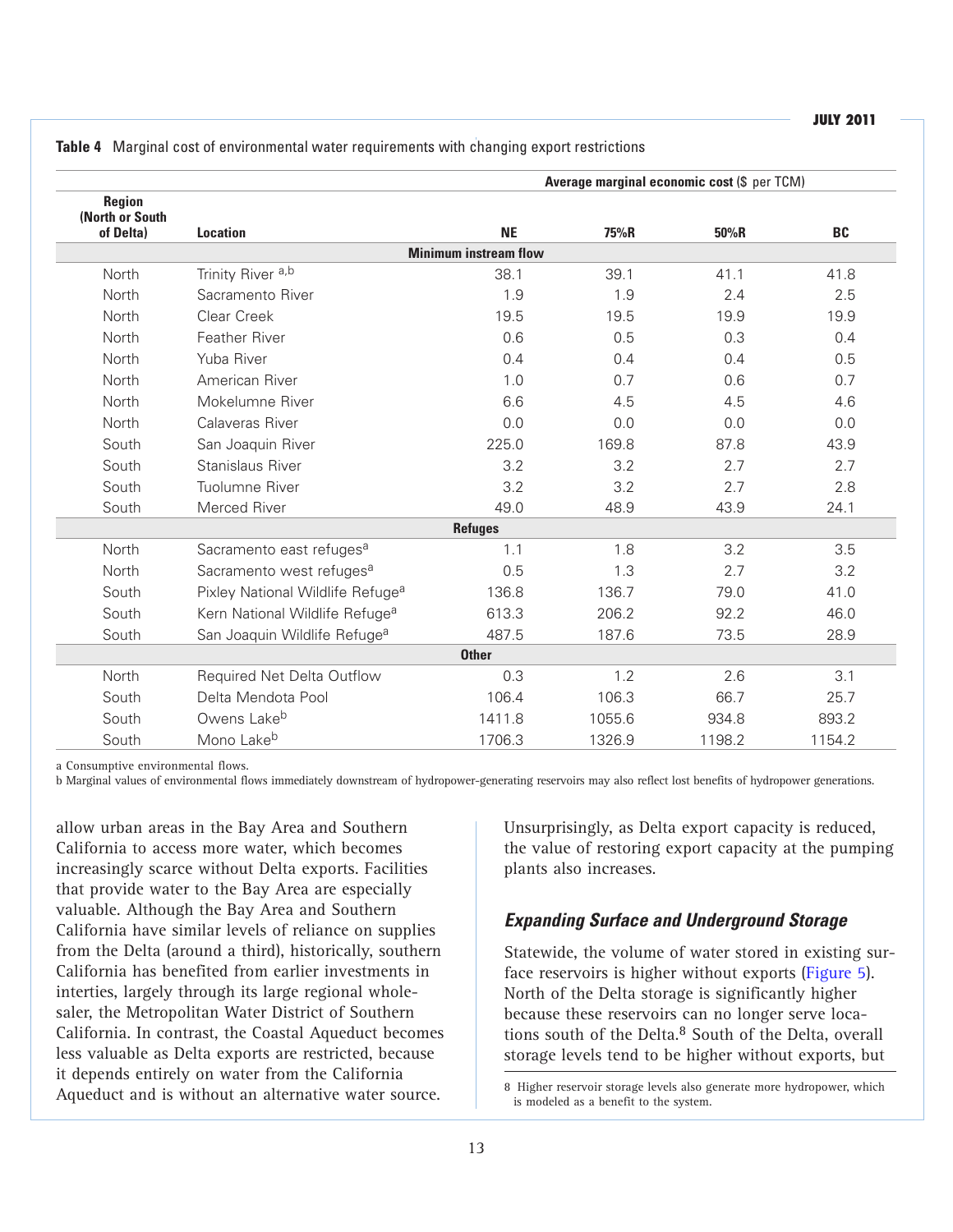|                                        |                                              |                              | Average marginal economic cost (\$ per TCM) |        |        |
|----------------------------------------|----------------------------------------------|------------------------------|---------------------------------------------|--------|--------|
| Region<br>(North or South<br>of Delta) | <b>Location</b>                              | <b>NE</b>                    | 75%R                                        | 50%R   | BC     |
|                                        |                                              | <b>Minimum instream flow</b> |                                             |        |        |
| North                                  | Trinity River <sup>a,b</sup>                 | 38.1                         | 39.1                                        | 41.1   | 41.8   |
| North                                  | Sacramento River                             | 1.9                          | 1.9                                         | 2.4    | 2.5    |
| North                                  | Clear Creek                                  | 19.5                         | 19.5                                        | 19.9   | 19.9   |
| North                                  | Feather River                                | 0.6                          | 0.5                                         | 0.3    | 0.4    |
| North                                  | Yuba River                                   | 0.4                          | 0.4                                         | 0.4    | 0.5    |
| North                                  | American River                               | 1.0                          | 0.7                                         | 0.6    | 0.7    |
| North                                  | Mokelumne River                              | 6.6                          | 4.5                                         | 4.5    | 4.6    |
| <b>North</b>                           | Calaveras River                              | 0.0                          | 0.0                                         | 0.0    | 0.0    |
| South                                  | San Joaquin River                            | 225.0                        | 169.8                                       | 87.8   | 43.9   |
| South                                  | Stanislaus River                             | 3.2                          | 3.2                                         | 2.7    | 2.7    |
| South                                  | Tuolumne River                               | 3.2                          | 3.2                                         | 2.7    | 2.8    |
| South                                  | Merced River                                 | 49.0                         | 48.9                                        | 43.9   | 24.1   |
|                                        |                                              | <b>Refuges</b>               |                                             |        |        |
| North                                  | Sacramento east refuges <sup>a</sup>         | 1.1                          | 1.8                                         | 3.2    | 3.5    |
| North                                  | Sacramento west refuges <sup>a</sup>         | 0.5                          | 1.3                                         | 2.7    | 3.2    |
| South                                  | Pixley National Wildlife Refuge <sup>a</sup> | 136.8                        | 136.7                                       | 79.0   | 41.0   |
| South                                  | Kern National Wildlife Refuge <sup>a</sup>   | 613.3                        | 206.2                                       | 92.2   | 46.0   |
| South                                  | San Joaquin Wildlife Refuge <sup>a</sup>     | 487.5                        | 187.6                                       | 73.5   | 28.9   |
|                                        |                                              | <b>Other</b>                 |                                             |        |        |
| North                                  | <b>Required Net Delta Outflow</b>            | 0.3                          | 1.2                                         | 2.6    | 3.1    |
| South                                  | Delta Mendota Pool                           | 106.4                        | 106.3                                       | 66.7   | 25.7   |
| South                                  | Owens Lake <sup>b</sup>                      | 1411.8                       | 1055.6                                      | 934.8  | 893.2  |
| South                                  | Mono Lakeb                                   | 1706.3                       | 1326.9                                      | 1198.2 | 1154.2 |

**Table 4** Marginal cost of environmental water requirements with changing export restrictions

a Consumptive environmental flows.

b Marginal values of environmental flows immediately downstream of hydropower-generating reservoirs may also reflect lost benefits of hydropower generations.

allow urban areas in the Bay Area and Southern California to access more water, which becomes increasingly scarce without Delta exports. Facilities that provide water to the Bay Area are especially valuable. Although the Bay Area and Southern California have similar levels of reliance on supplies from the Delta (around a third), historically, southern California has benefited from earlier investments in interties, largely through its large regional wholesaler, the Metropolitan Water District of Southern California. In contrast, the Coastal Aqueduct becomes less valuable as Delta exports are restricted, because it depends entirely on water from the California Aqueduct and is without an alternative water source.

Unsurprisingly, as Delta export capacity is reduced, the value of restoring export capacity at the pumping plants also increases.

## *Expanding Surface and Underground Storage*

Statewide, the volume of water stored in existing surface reservoirs is higher without exports (Figure 5). North of the Delta storage is significantly higher because these reservoirs can no longer serve locations south of the Delta.<sup>8</sup> South of the Delta, overall storage levels tend to be higher without exports, but

8 Higher reservoir storage levels also generate more hydropower, which is modeled as a benefit to the system.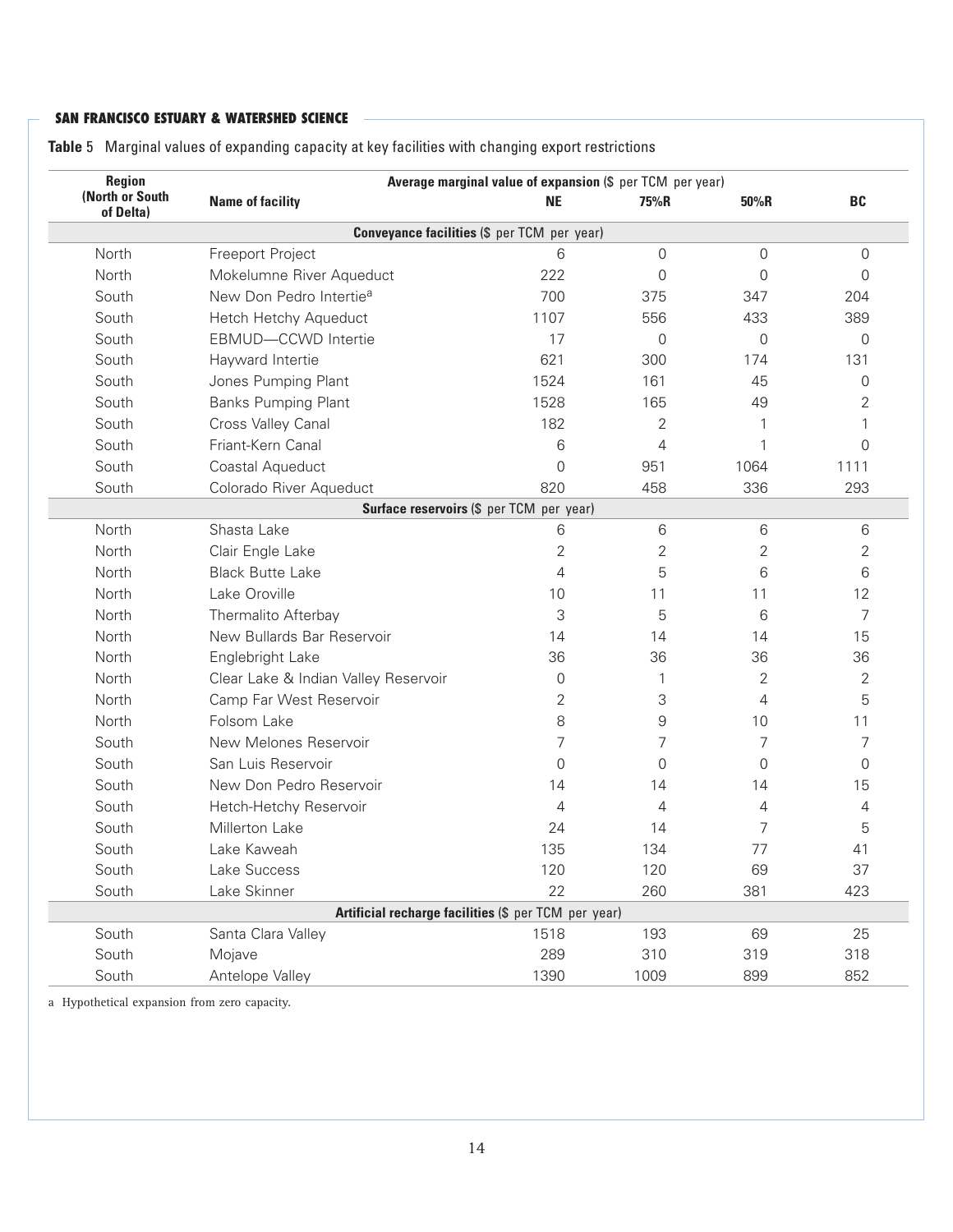| Region<br>(North or South |                                                      | Average marginal value of expansion (\$ per TCM per year) |                |                |           |
|---------------------------|------------------------------------------------------|-----------------------------------------------------------|----------------|----------------|-----------|
| of Delta)                 | <b>Name of facility</b>                              | <b>NE</b>                                                 | 75%R           | 50%R           | <b>BC</b> |
|                           | <b>Conveyance facilities (\$ per TCM per year)</b>   |                                                           |                |                |           |
| North                     | Freeport Project                                     | 6                                                         | 0              | 0              | 0         |
| North                     | Mokelumne River Aqueduct                             | 222                                                       | $\overline{0}$ | $\overline{0}$ | 0         |
| South                     | New Don Pedro Intertie <sup>a</sup>                  | 700                                                       | 375            | 347            | 204       |
| South                     | Hetch Hetchy Aqueduct                                | 1107                                                      | 556            | 433            | 389       |
| South                     | EBMUD-CCWD Intertie                                  | 17                                                        | 0              | $\overline{0}$ | 0         |
| South                     | Hayward Intertie                                     | 621                                                       | 300            | 174            | 131       |
| South                     | Jones Pumping Plant                                  | 1524                                                      | 161            | 45             | $\Omega$  |
| South                     | <b>Banks Pumping Plant</b>                           | 1528                                                      | 165            | 49             | 2         |
| South                     | Cross Valley Canal                                   | 182                                                       | $\overline{2}$ |                |           |
| South                     | Friant-Kern Canal                                    | 6                                                         | $\overline{4}$ | 1              | $\Omega$  |
| South                     | Coastal Aqueduct                                     | $\overline{0}$                                            | 951            | 1064           | 1111      |
| South                     | Colorado River Aqueduct                              | 820                                                       | 458            | 336            | 293       |
|                           | Surface reservoirs (\$ per TCM per year)             |                                                           |                |                |           |
| North                     | Shasta Lake                                          | 6                                                         | 6              | 6              | 6         |
| North                     | Clair Engle Lake                                     | 2                                                         | $\overline{2}$ | $\overline{2}$ | 2         |
| North                     | <b>Black Butte Lake</b>                              | 4                                                         | 5              | 6              | 6         |
| North                     | Lake Oroville                                        | 10                                                        | 11             | 11             | 12        |
| North                     | Thermalito Afterbay                                  | 3                                                         | 5              | 6              | 7         |
| North                     | New Bullards Bar Reservoir                           | 14                                                        | 14             | 14             | 15        |
| North                     | Englebright Lake                                     | 36                                                        | 36             | 36             | 36        |
| North                     | Clear Lake & Indian Valley Reservoir                 | $\overline{0}$                                            | 1              | $\overline{2}$ | 2         |
| North                     | Camp Far West Reservoir                              | 2                                                         | 3              | 4              | 5         |
| North                     | Folsom Lake                                          | 8                                                         | $\mathsf 9$    | 10             | 11        |
| South                     | New Melones Reservoir                                | 7                                                         | $\overline{7}$ | 7              | 7         |
| South                     | San Luis Reservoir                                   | $\overline{0}$                                            | $\overline{0}$ | $\overline{0}$ | 0         |
| South                     | New Don Pedro Reservoir                              | 14                                                        | 14             | 14             | 15        |
| South                     | Hetch-Hetchy Reservoir                               | 4                                                         | 4              | 4              | 4         |
| South                     | Millerton Lake                                       | 24                                                        | 14             | 7              | 5         |
| South                     | Lake Kaweah                                          | 135                                                       | 134            | 77             | 41        |
| South                     | Lake Success                                         | 120                                                       | 120            | 69             | 37        |
| South                     | Lake Skinner                                         | 22                                                        | 260            | 381            | 423       |
|                           | Artificial recharge facilities (\$ per TCM per year) |                                                           |                |                |           |
| South                     | Santa Clara Valley                                   | 1518                                                      | 193            | 69             | 25        |
| South                     | Mojave                                               | 289                                                       | 310            | 319            | 318       |
| South                     | Antelope Valley                                      | 1390                                                      | 1009           | 899            | 852       |

**Table** 5 Marginal values of expanding capacity at key facilities with changing export restrictions

a Hypothetical expansion from zero capacity.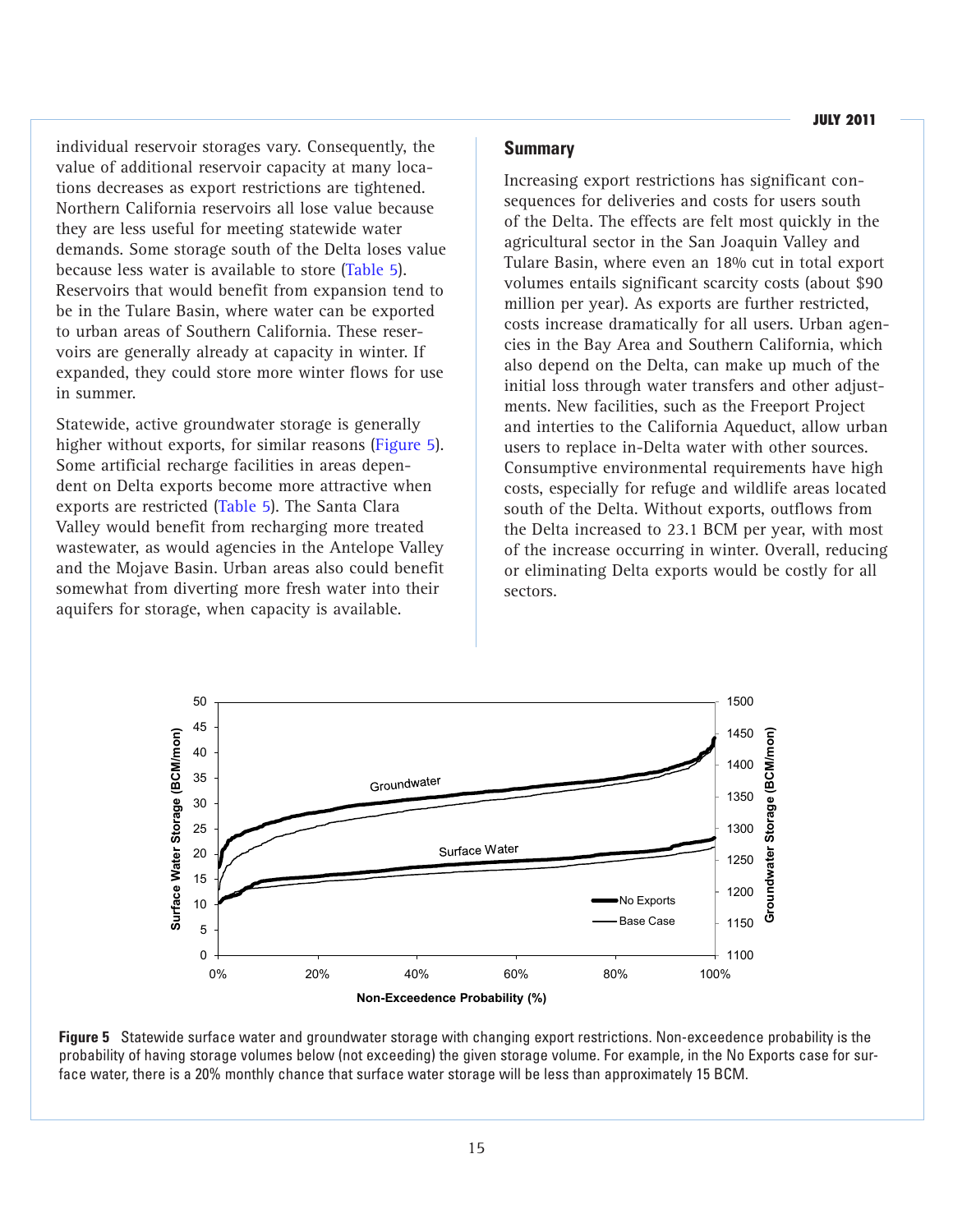individual reservoir storages vary. Consequently, the value of additional reservoir capacity at many locations decreases as export restrictions are tightened. Northern California reservoirs all lose value because they are less useful for meeting statewide water demands. Some storage south of the Delta loses value because less water is available to store (Table 5). Reservoirs that would benefit from expansion tend to be in the Tulare Basin, where water can be exported to urban areas of Southern California. These reservoirs are generally already at capacity in winter. If expanded, they could store more winter flows for use in summer.

Statewide, active groundwater storage is generally higher without exports, for similar reasons (Figure 5). Some artificial recharge facilities in areas dependent on Delta exports become more attractive when exports are restricted (Table 5). The Santa Clara Valley would benefit from recharging more treated wastewater, as would agencies in the Antelope Valley and the Mojave Basin. Urban areas also could benefit somewhat from diverting more fresh water into their aquifers for storage, when capacity is available.

## **Summary**

Increasing export restrictions has significant consequences for deliveries and costs for users south of the Delta. The effects are felt most quickly in the agricultural sector in the San Joaquin Valley and Tulare Basin, where even an 18% cut in total export volumes entails significant scarcity costs (about \$90 million per year). As exports are further restricted, costs increase dramatically for all users. Urban agencies in the Bay Area and Southern California, which also depend on the Delta, can make up much of the initial loss through water transfers and other adjustments. New facilities, such as the Freeport Project and interties to the California Aqueduct, allow urban users to replace in-Delta water with other sources. Consumptive environmental requirements have high costs, especially for refuge and wildlife areas located south of the Delta. Without exports, outflows from the Delta increased to 23.1 BCM per year, with most of the increase occurring in winter. Overall, reducing or eliminating Delta exports would be costly for all sectors.



**Figure 5** Statewide surface water and groundwater storage with changing export restrictions. Non-exceedence probability is the probability of having storage volumes below (not exceeding) the given storage volume. For example, in the No Exports case for surface water, there is a 20% monthly chance that surface water storage will be less than approximately 15 BCM.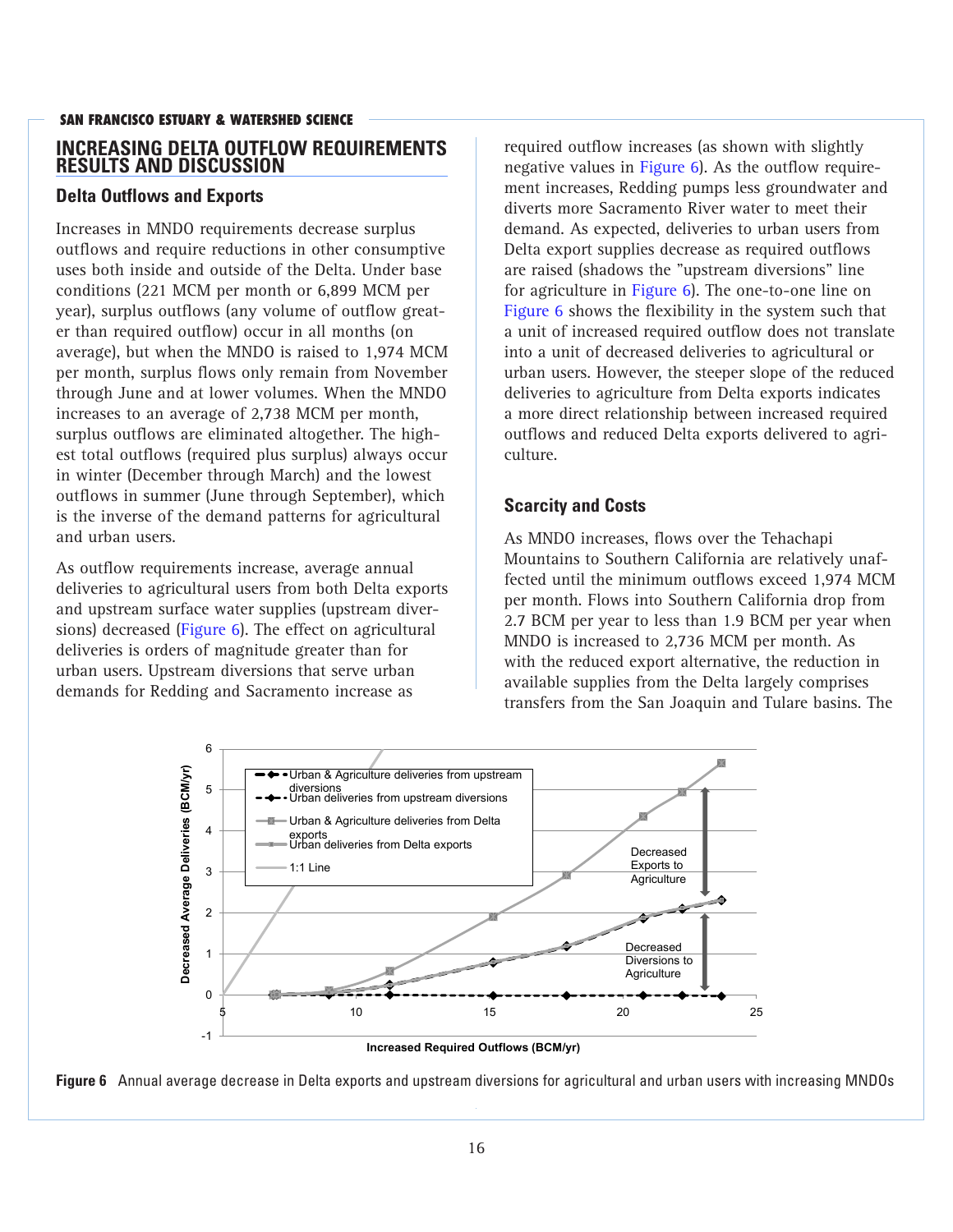## **SAN FRANCISCO ESTUARY & WATERSHED SCIENCE INCREASING DELTA OUTFLOW REQUIREMENTS RESULTS AND DISCUSSION**

## **Delta Outflows and Exports**

Increases in MNDO requirements decrease surplus outflows and require reductions in other consumptive uses both inside and outside of the Delta. Under base conditions (221 MCM per month or 6,899 MCM per year), surplus outflows (any volume of outflow greater than required outflow) occur in all months (on average), but when the MNDO is raised to 1,974 MCM per month, surplus flows only remain from November through June and at lower volumes. When the MNDO increases to an average of 2,738 MCM per month, surplus outflows are eliminated altogether. The highest total outflows (required plus surplus) always occur in winter (December through March) and the lowest outflows in summer (June through September), which is the inverse of the demand patterns for agricultural and urban users.

As outflow requirements increase, average annual deliveries to agricultural users from both Delta exports and upstream surface water supplies (upstream diversions) decreased (Figure 6). The effect on agricultural deliveries is orders of magnitude greater than for urban users. Upstream diversions that serve urban demands for Redding and Sacramento increase as

required outflow increases (as shown with slightly negative values in Figure 6). As the outflow requirement increases, Redding pumps less groundwater and diverts more Sacramento River water to meet their demand. As expected, deliveries to urban users from Delta export supplies decrease as required outflows are raised (shadows the "upstream diversions" line for agriculture in Figure 6). The one-to-one line on Figure 6 shows the flexibility in the system such that a unit of increased required outflow does not translate into a unit of decreased deliveries to agricultural or urban users. However, the steeper slope of the reduced deliveries to agriculture from Delta exports indicates a more direct relationship between increased required outflows and reduced Delta exports delivered to agriculture.

## **Scarcity and Costs**

As MNDO increases, flows over the Tehachapi Mountains to Southern California are relatively unaffected until the minimum outflows exceed 1,974 MCM per month. Flows into Southern California drop from 2.7 BCM per year to less than 1.9 BCM per year when MNDO is increased to 2,736 MCM per month. As with the reduced export alternative, the reduction in available supplies from the Delta largely comprises transfers from the San Joaquin and Tulare basins. The



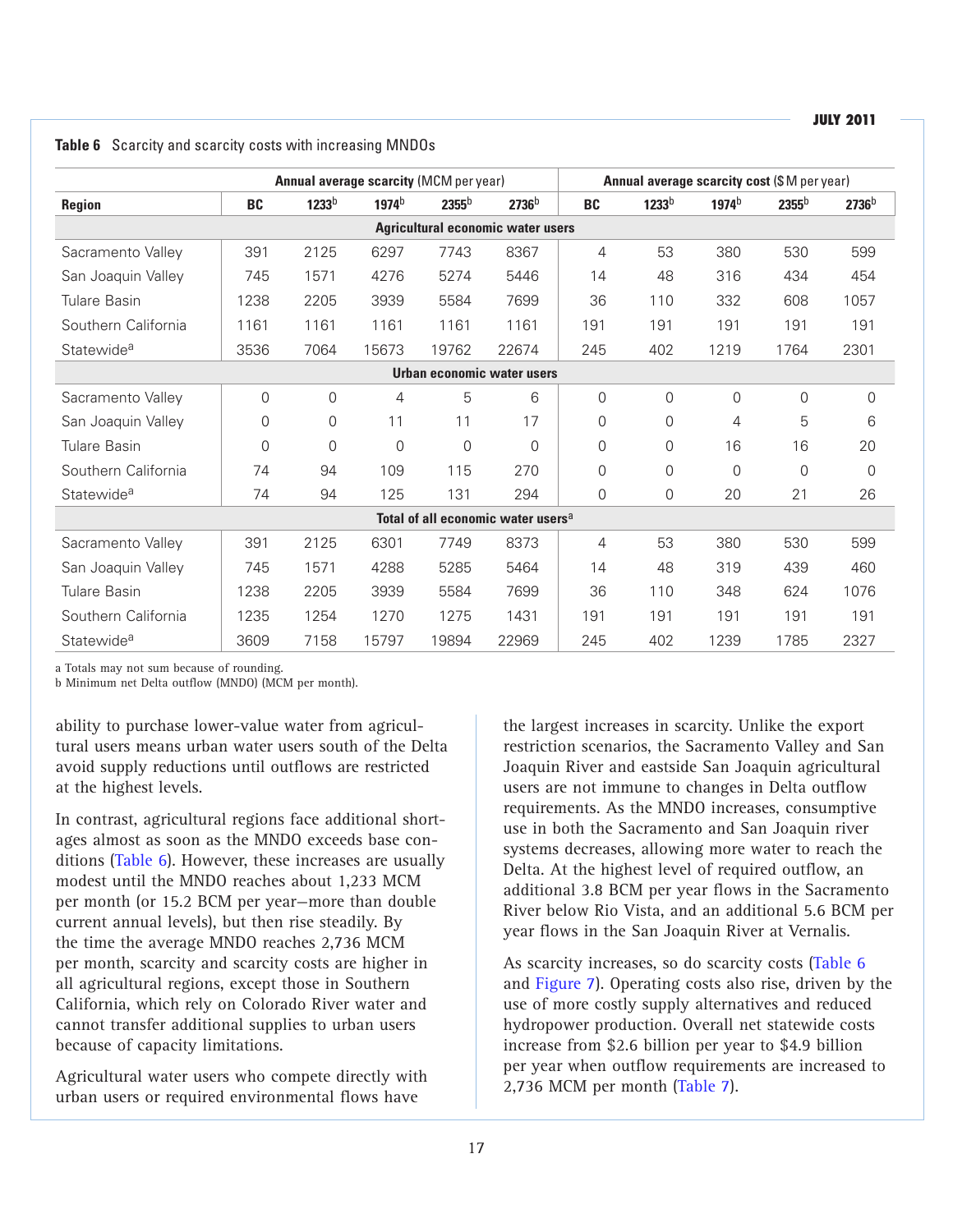|                        |           |                   | <b>Annual average scarcity (MCM per year)</b> |                   |                                                | <b>Annual average scarcity cost (\$M per year)</b> |                   |                   |                   |                   |
|------------------------|-----------|-------------------|-----------------------------------------------|-------------------|------------------------------------------------|----------------------------------------------------|-------------------|-------------------|-------------------|-------------------|
| <b>Region</b>          | <b>BC</b> | 1233 <sup>b</sup> | 1974 <sup>b</sup>                             | 2355 <sup>b</sup> | 2736 <sup>b</sup>                              | BC                                                 | 1233 <sup>b</sup> | 1974 <sup>b</sup> | 2355 <sup>b</sup> | 2736 <sup>b</sup> |
|                        |           |                   |                                               |                   | <b>Agricultural economic water users</b>       |                                                    |                   |                   |                   |                   |
| Sacramento Valley      | 391       | 2125              | 6297                                          | 7743              | 8367                                           | 4                                                  | 53                | 380               | 530               | 599               |
| San Joaquin Valley     | 745       | 1571              | 4276                                          | 5274              | 5446                                           | 14                                                 | 48                | 316               | 434               | 454               |
| <b>Tulare Basin</b>    | 1238      | 2205              | 3939                                          | 5584              | 7699                                           | 36                                                 | 110               | 332               | 608               | 1057              |
| Southern California    | 1161      | 1161              | 1161                                          | 1161              | 1161                                           | 191                                                | 191               | 191               | 191               | 191               |
| Statewide <sup>a</sup> | 3536      | 7064              | 15673                                         | 19762             | 22674                                          | 245                                                | 402               | 1219              | 1764              | 2301              |
|                        |           |                   |                                               |                   | <b>Urban economic water users</b>              |                                                    |                   |                   |                   |                   |
| Sacramento Valley      | 0         | 0                 | 4                                             | 5                 | 6                                              | $\overline{0}$                                     | 0                 | $\overline{0}$    | $\overline{0}$    | 0                 |
| San Joaquin Valley     | 0         | 0                 | 11                                            | 11                | 17                                             | 0                                                  | 0                 | 4                 | 5                 | 6                 |
| Tulare Basin           | 0         | 0                 | 0                                             | $\overline{0}$    | $\Omega$                                       | 0                                                  | 0                 | 16                | 16                | 20                |
| Southern California    | 74        | 94                | 109                                           | 115               | 270                                            | $\overline{0}$                                     | 0                 | $\Omega$          | $\Omega$          | $\Omega$          |
| Statewide <sup>a</sup> | 74        | 94                | 125                                           | 131               | 294                                            | $\mathbf 0$                                        | 0                 | 20                | 21                | 26                |
|                        |           |                   |                                               |                   | Total of all economic water users <sup>a</sup> |                                                    |                   |                   |                   |                   |
| Sacramento Valley      | 391       | 2125              | 6301                                          | 7749              | 8373                                           | 4                                                  | 53                | 380               | 530               | 599               |
| San Joaquin Valley     | 745       | 1571              | 4288                                          | 5285              | 5464                                           | 14                                                 | 48                | 319               | 439               | 460               |
| <b>Tulare Basin</b>    | 1238      | 2205              | 3939                                          | 5584              | 7699                                           | 36                                                 | 110               | 348               | 624               | 1076              |
| Southern California    | 1235      | 1254              | 1270                                          | 1275              | 1431                                           | 191                                                | 191               | 191               | 191               | 191               |
| Statewide <sup>a</sup> | 3609      | 7158              | 15797                                         | 19894             | 22969                                          | 245                                                | 402               | 1239              | 1785              | 2327              |

**Table 6** Scarcity and scarcity costs with increasing MNDOs

a Totals may not sum because of rounding.

b Minimum net Delta outflow (MNDO) (MCM per month).

ability to purchase lower-value water from agricultural users means urban water users south of the Delta avoid supply reductions until outflows are restricted at the highest levels.

In contrast, agricultural regions face additional shortages almost as soon as the MNDO exceeds base conditions (Table 6). However, these increases are usually modest until the MNDO reaches about 1,233 MCM per month (or 15.2 BCM per year—more than double current annual levels), but then rise steadily. By the time the average MNDO reaches 2,736 MCM per month, scarcity and scarcity costs are higher in all agricultural regions, except those in Southern California, which rely on Colorado River water and cannot transfer additional supplies to urban users because of capacity limitations.

Agricultural water users who compete directly with urban users or required environmental flows have

the largest increases in scarcity. Unlike the export restriction scenarios, the Sacramento Valley and San Joaquin River and eastside San Joaquin agricultural users are not immune to changes in Delta outflow requirements. As the MNDO increases, consumptive use in both the Sacramento and San Joaquin river systems decreases, allowing more water to reach the Delta. At the highest level of required outflow, an additional 3.8 BCM per year flows in the Sacramento River below Rio Vista, and an additional 5.6 BCM per year flows in the San Joaquin River at Vernalis.

As scarcity increases, so do scarcity costs (Table 6 and Figure 7). Operating costs also rise, driven by the use of more costly supply alternatives and reduced hydropower production. Overall net statewide costs increase from \$2.6 billion per year to \$4.9 billion per year when outflow requirements are increased to 2,736 MCM per month (Table 7).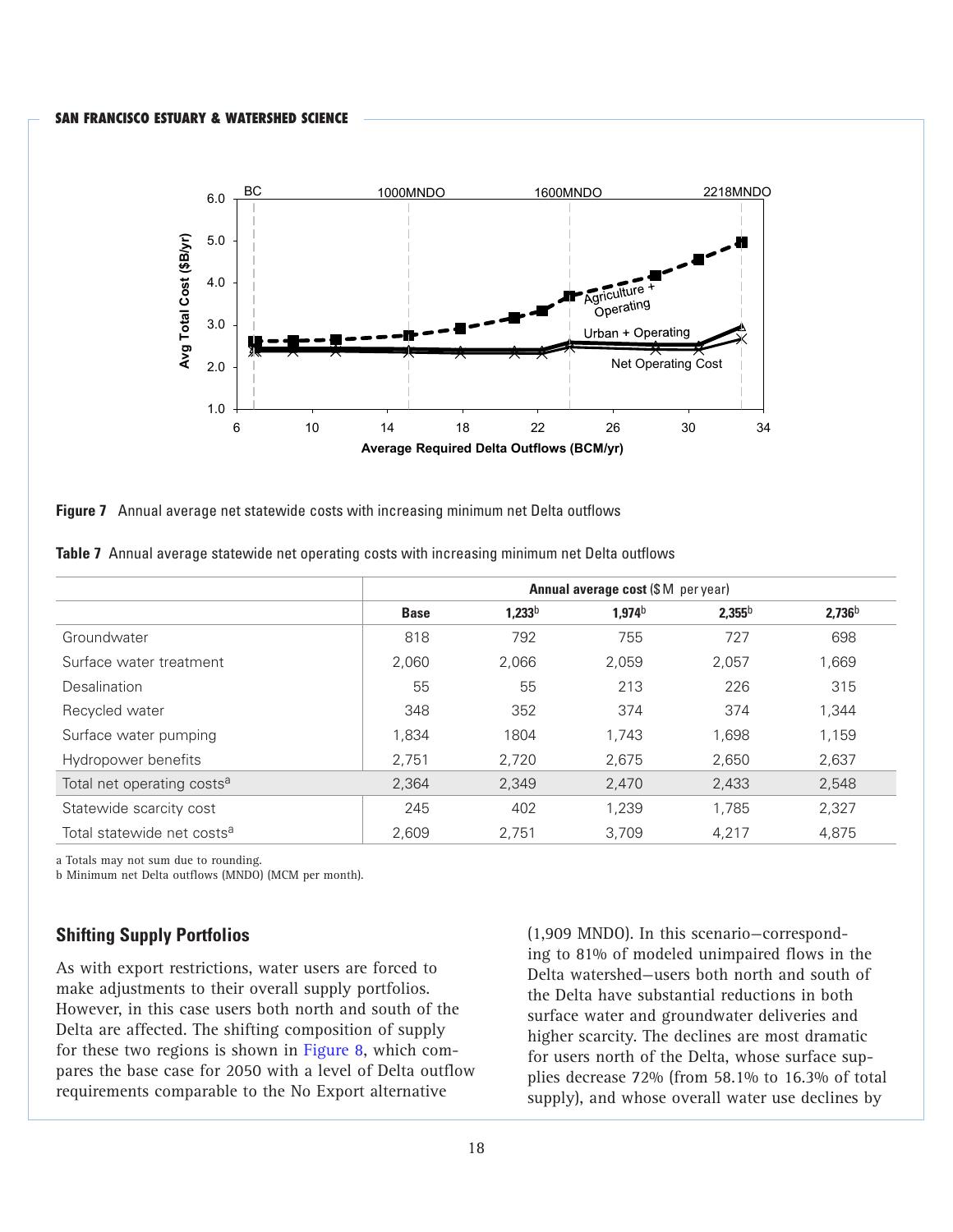

**Figure 7** Annual average net statewide costs with increasing minimum net Delta outflows

|  | <b>Table 7</b> Annual average statewide net operating costs with increasing minimum net Delta outflows |  |  |  |
|--|--------------------------------------------------------------------------------------------------------|--|--|--|

|                                        |             | <b>Annual average cost (\$M per year)</b> |                    |             |                    |  |  |  |  |
|----------------------------------------|-------------|-------------------------------------------|--------------------|-------------|--------------------|--|--|--|--|
|                                        | <b>Base</b> | 1,233 <sup>b</sup>                        | 1,974 <sup>b</sup> | $2,355^{b}$ | 2,736 <sup>b</sup> |  |  |  |  |
| Groundwater                            | 818         | 792                                       | 755                | 727         | 698                |  |  |  |  |
| Surface water treatment                | 2.060       | 2,066                                     | 2,059              | 2,057       | 1,669              |  |  |  |  |
| <b>Desalination</b>                    | 55          | 55                                        | 213                | 226         | 315                |  |  |  |  |
| Recycled water                         | 348         | 352                                       | 374                | 374         | 1,344              |  |  |  |  |
| Surface water pumping                  | 1,834       | 1804                                      | 1.743              | 1,698       | 1,159              |  |  |  |  |
| Hydropower benefits                    | 2,751       | 2,720                                     | 2,675              | 2,650       | 2,637              |  |  |  |  |
| Total net operating costs <sup>a</sup> | 2.364       | 2,349                                     | 2,470              | 2,433       | 2,548              |  |  |  |  |
| Statewide scarcity cost                | 245         | 402                                       | 1.239              | 1.785       | 2,327              |  |  |  |  |
| Total statewide net costs <sup>a</sup> | 2.609       | 2.751                                     | 3.709              | 4.217       | 4.875              |  |  |  |  |

a Totals may not sum due to rounding.

b Minimum net Delta outflows (MNDO) (MCM per month).

## **Shifting Supply Portfolios**

As with export restrictions, water users are forced to make adjustments to their overall supply portfolios. However, in this case users both north and south of the Delta are affected. The shifting composition of supply for these two regions is shown in Figure 8, which compares the base case for 2050 with a level of Delta outflow requirements comparable to the No Export alternative

(1,909 MNDO). In this scenario—corresponding to 81% of modeled unimpaired flows in the Delta watershed—users both north and south of the Delta have substantial reductions in both surface water and groundwater deliveries and higher scarcity. The declines are most dramatic for users north of the Delta, whose surface supplies decrease 72% (from 58.1% to 16.3% of total supply), and whose overall water use declines by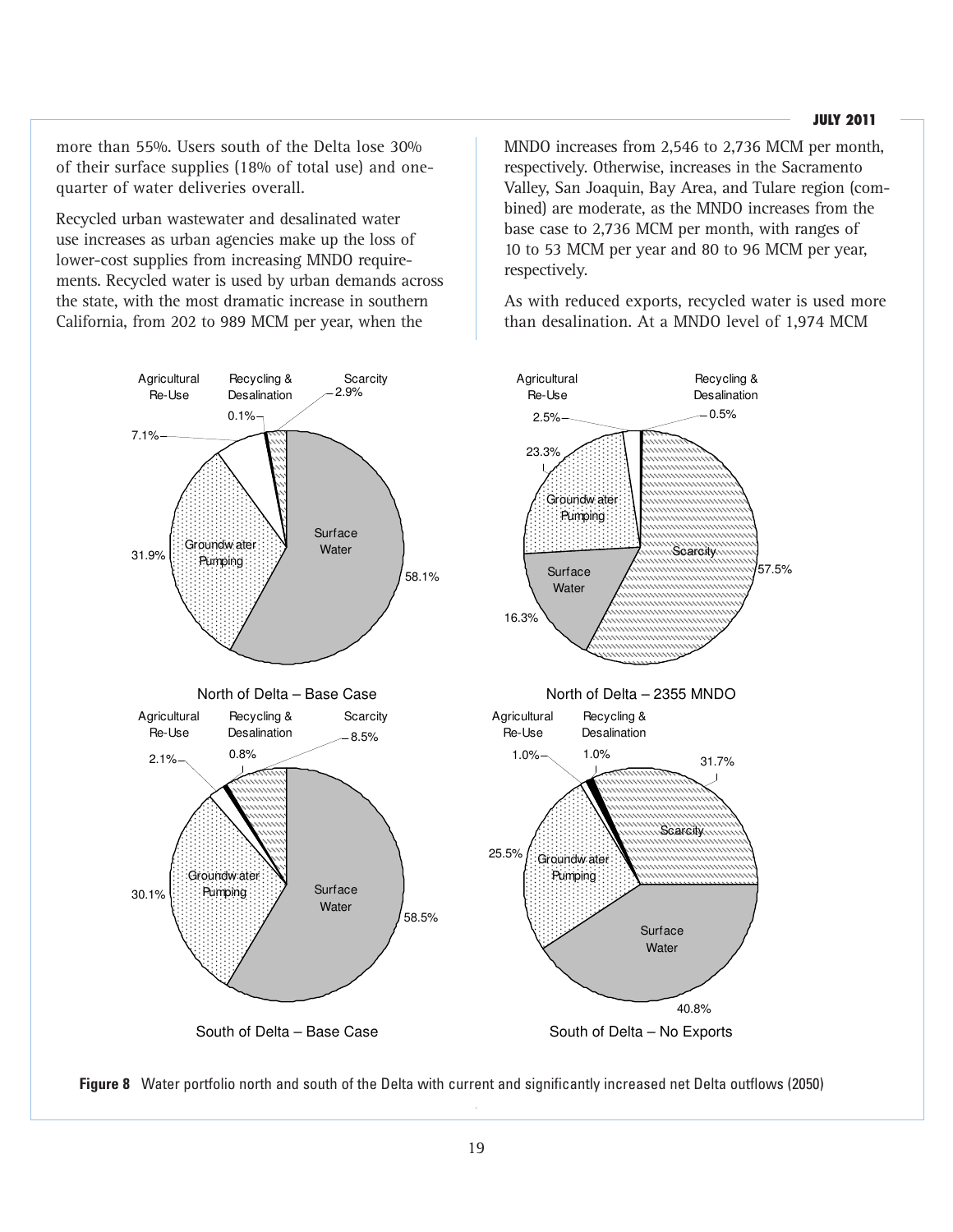#### **JULY 2011**

more than 55%. Users south of the Delta lose 30% of their surface supplies (18% of total use) and onequarter of water deliveries overall.

Recycled urban wastewater and desalinated water use increases as urban agencies make up the loss of lower-cost supplies from increasing MNDO requirements. Recycled water is used by urban demands across the state, with the most dramatic increase in southern California, from 202 to 989 MCM per year, when the

MNDO increases from 2,546 to 2,736 MCM per month, respectively. Otherwise, increases in the Sacramento Valley, San Joaquin, Bay Area, and Tulare region (combined) are moderate, as the MNDO increases from the base case to 2,736 MCM per month, with ranges of 10 to 53 MCM per year and 80 to 96 MCM per year, respectively.

As with reduced exports, recycled water is used more than desalination. At a MNDO level of 1,974 MCM



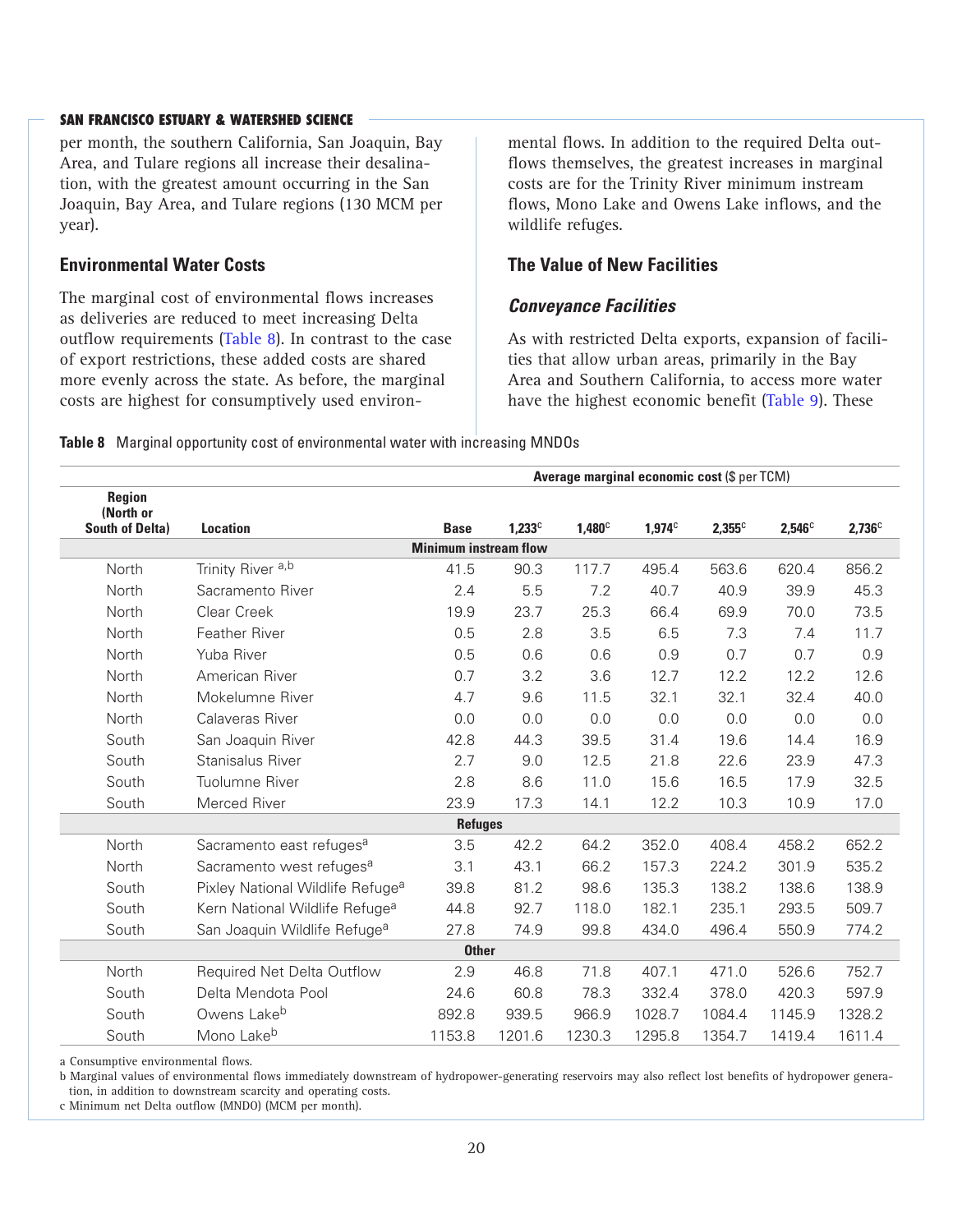per month, the southern California, San Joaquin, Bay Area, and Tulare regions all increase their desalination, with the greatest amount occurring in the San Joaquin, Bay Area, and Tulare regions (130 MCM per year).

## **Environmental Water Costs**

The marginal cost of environmental flows increases as deliveries are reduced to meet increasing Delta outflow requirements (Table 8). In contrast to the case of export restrictions, these added costs are shared more evenly across the state. As before, the marginal costs are highest for consumptively used environmental flows. In addition to the required Delta outflows themselves, the greatest increases in marginal costs are for the Trinity River minimum instream flows, Mono Lake and Owens Lake inflows, and the wildlife refuges.

## **The Value of New Facilities**

## *Conveyance Facilities*

As with restricted Delta exports, expansion of facilities that allow urban areas, primarily in the Bay Area and Southern California, to access more water have the highest economic benefit (Table 9). These

**Table 8** Marginal opportunity cost of environmental water with increasing MNDOs

|                                               | Average marginal economic cost (\$ per TCM)  |                              |           |               |           |           |           |                 |
|-----------------------------------------------|----------------------------------------------|------------------------------|-----------|---------------|-----------|-----------|-----------|-----------------|
| Region<br>(North or<br><b>South of Delta)</b> | <b>Location</b>                              | <b>Base</b>                  | $1,233^c$ | $1,480^\circ$ | $1,974^c$ | $2,355^c$ | $2,546^c$ | $2,736^{\circ}$ |
|                                               |                                              | <b>Minimum instream flow</b> |           |               |           |           |           |                 |
| North                                         | Trinity River <sup>a,b</sup>                 | 41.5                         | 90.3      | 117.7         | 495.4     | 563.6     | 620.4     | 856.2           |
| North                                         | Sacramento River                             | 2.4                          | 5.5       | 7.2           | 40.7      | 40.9      | 39.9      | 45.3            |
| North                                         | Clear Creek                                  | 19.9                         | 23.7      | 25.3          | 66.4      | 69.9      | 70.0      | 73.5            |
| North                                         | Feather River                                | 0.5                          | 2.8       | 3.5           | 6.5       | 7.3       | 7.4       | 11.7            |
| North                                         | Yuba River                                   | 0.5                          | 0.6       | 0.6           | 0.9       | 0.7       | 0.7       | 0.9             |
| North                                         | American River                               | 0.7                          | 3.2       | 3.6           | 12.7      | 12.2      | 12.2      | 12.6            |
| North                                         | Mokelumne River                              | 4.7                          | 9.6       | 11.5          | 32.1      | 32.1      | 32.4      | 40.0            |
| North                                         | Calaveras River                              | 0.0                          | 0.0       | 0.0           | 0.0       | 0.0       | 0.0       | 0.0             |
| South                                         | San Joaquin River                            | 42.8                         | 44.3      | 39.5          | 31.4      | 19.6      | 14.4      | 16.9            |
| South                                         | Stanisalus River                             | 2.7                          | 9.0       | 12.5          | 21.8      | 22.6      | 23.9      | 47.3            |
| South                                         | Tuolumne River                               | 2.8                          | 8.6       | 11.0          | 15.6      | 16.5      | 17.9      | 32.5            |
| South                                         | Merced River                                 | 23.9                         | 17.3      | 14.1          | 12.2      | 10.3      | 10.9      | 17.0            |
|                                               |                                              | <b>Refuges</b>               |           |               |           |           |           |                 |
| North                                         | Sacramento east refuges <sup>a</sup>         | 3.5                          | 42.2      | 64.2          | 352.0     | 408.4     | 458.2     | 652.2           |
| North                                         | Sacramento west refuges <sup>a</sup>         | 3.1                          | 43.1      | 66.2          | 157.3     | 224.2     | 301.9     | 535.2           |
| South                                         | Pixley National Wildlife Refuge <sup>a</sup> | 39.8                         | 81.2      | 98.6          | 135.3     | 138.2     | 138.6     | 138.9           |
| South                                         | Kern National Wildlife Refuge <sup>a</sup>   | 44.8                         | 92.7      | 118.0         | 182.1     | 235.1     | 293.5     | 509.7           |
| South                                         | San Joaquin Wildlife Refuge <sup>a</sup>     | 27.8                         | 74.9      | 99.8          | 434.0     | 496.4     | 550.9     | 774.2           |
|                                               |                                              | <b>Other</b>                 |           |               |           |           |           |                 |
| North                                         | Required Net Delta Outflow                   | 2.9                          | 46.8      | 71.8          | 407.1     | 471.0     | 526.6     | 752.7           |
| South                                         | Delta Mendota Pool                           | 24.6                         | 60.8      | 78.3          | 332.4     | 378.0     | 420.3     | 597.9           |
| South                                         | Owens Lake <sup>b</sup>                      | 892.8                        | 939.5     | 966.9         | 1028.7    | 1084.4    | 1145.9    | 1328.2          |
| South                                         | Mono Lake <sup>b</sup>                       | 1153.8                       | 1201.6    | 1230.3        | 1295.8    | 1354.7    | 1419.4    | 1611.4          |

a Consumptive environmental flows.

b Marginal values of environmental flows immediately downstream of hydropower-generating reservoirs may also reflect lost benefits of hydropower generation, in addition to downstream scarcity and operating costs.

c Minimum net Delta outflow (MNDO) (MCM per month).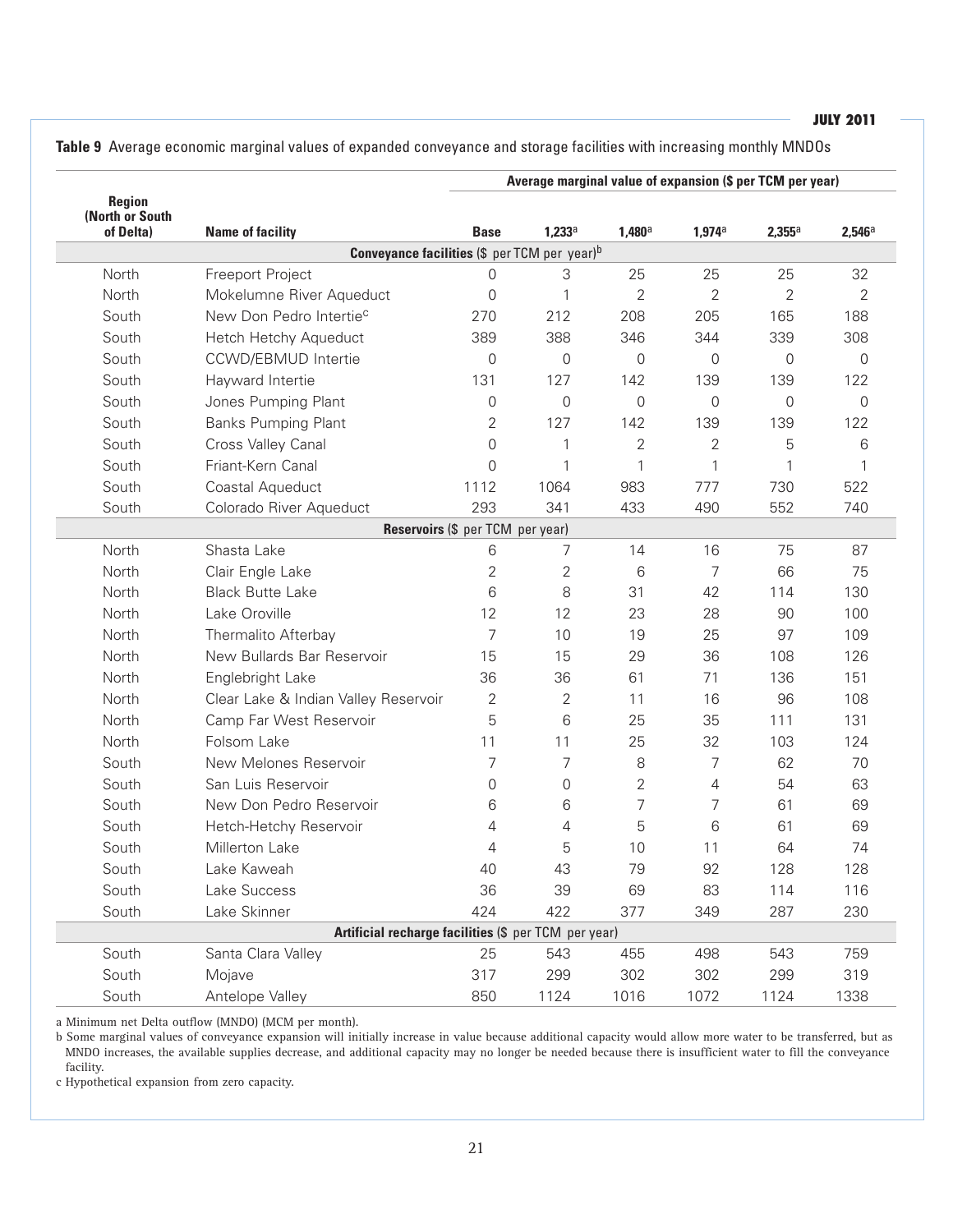**Table 9** Average economic marginal values of expanded conveyance and storage facilities with increasing monthly MNDOs

|                                               |                                                      |                |                |                 | Average marginal value of expansion (\$ per TCM per year) |              |                 |
|-----------------------------------------------|------------------------------------------------------|----------------|----------------|-----------------|-----------------------------------------------------------|--------------|-----------------|
| <b>Region</b><br>(North or South<br>of Delta) | <b>Name of facility</b>                              | <b>Base</b>    | $1,233^a$      | $1,480^{\circ}$ | $1,974^{\circ}$                                           | $2,355^a$    | $2,546^{\circ}$ |
|                                               | <b>Conveyance facilities (\$ per TCM per year)</b> b |                |                |                 |                                                           |              |                 |
| North                                         | Freeport Project                                     | $\Omega$       | 3              | 25              | 25                                                        | 25           | 32              |
| North                                         | Mokelumne River Aqueduct                             | 0              | 1              | $\overline{2}$  | $\overline{2}$                                            | 2            | $\overline{2}$  |
| South                                         | New Don Pedro Intertie <sup>c</sup>                  | 270            | 212            | 208             | 205                                                       | 165          | 188             |
| South                                         | Hetch Hetchy Aqueduct                                | 389            | 388            | 346             | 344                                                       | 339          | 308             |
| South                                         | <b>CCWD/EBMUD Intertie</b>                           | 0              | 0              | $\mathbf{0}$    | $\overline{0}$                                            | $\mathbf{0}$ | $\Omega$        |
| South                                         | Hayward Intertie                                     | 131            | 127            | 142             | 139                                                       | 139          | 122             |
| South                                         | Jones Pumping Plant                                  | $\mathbf{0}$   | 0              | 0               | 0                                                         | $\mathbf{0}$ | $\mathbf 0$     |
| South                                         | <b>Banks Pumping Plant</b>                           | 2              | 127            | 142             | 139                                                       | 139          | 122             |
| South                                         | Cross Valley Canal                                   | 0              | 1              | $\mathbf{2}$    | $\overline{2}$                                            | 5            | 6               |
| South                                         | Friant-Kern Canal                                    | $\Omega$       | 1              | 1               | 1                                                         | 1            | 1               |
| South                                         | Coastal Aqueduct                                     | 1112           | 1064           | 983             | 777                                                       | 730          | 522             |
| South                                         | Colorado River Aqueduct                              | 293            | 341            | 433             | 490                                                       | 552          | 740             |
|                                               | Reservoirs (\$ per TCM per year)                     |                |                |                 |                                                           |              |                 |
| North                                         | Shasta Lake                                          | 6              | 7              | 14              | 16                                                        | 75           | 87              |
| North                                         | Clair Engle Lake                                     | $\overline{2}$ | 2              | 6               | 7                                                         | 66           | 75              |
| North                                         | <b>Black Butte Lake</b>                              | 6              | 8              | 31              | 42                                                        | 114          | 130             |
| North                                         | Lake Oroville                                        | 12             | 12             | 23              | 28                                                        | 90           | 100             |
| North                                         | Thermalito Afterbay                                  | $\overline{7}$ | 10             | 19              | 25                                                        | 97           | 109             |
| North                                         | New Bullards Bar Reservoir                           | 15             | 15             | 29              | 36                                                        | 108          | 126             |
| North                                         | Englebright Lake                                     | 36             | 36             | 61              | 71                                                        | 136          | 151             |
| North                                         | Clear Lake & Indian Valley Reservoir                 | 2              | $\overline{2}$ | 11              | 16                                                        | 96           | 108             |
| North                                         | Camp Far West Reservoir                              | 5              | 6              | 25              | 35                                                        | 111          | 131             |
| North                                         | Folsom Lake                                          | 11             | 11             | 25              | 32                                                        | 103          | 124             |
| South                                         | New Melones Reservoir                                | 7              | 7              | 8               | 7                                                         | 62           | 70              |
| South                                         | San Luis Reservoir                                   | 0              | 0              | $\overline{2}$  | $\overline{4}$                                            | 54           | 63              |
| South                                         | New Don Pedro Reservoir                              | 6              | 6              | 7               | 7                                                         | 61           | 69              |
| South                                         | Hetch-Hetchy Reservoir                               | 4              | 4              | 5               | 6                                                         | 61           | 69              |
| South                                         | Millerton Lake                                       | 4              | 5              | 10              | 11                                                        | 64           | 74              |
| South                                         | Lake Kaweah                                          | 40             | 43             | 79              | 92                                                        | 128          | 128             |
| South                                         | Lake Success                                         | 36             | 39             | 69              | 83                                                        | 114          | 116             |
| South                                         | Lake Skinner                                         | 424            | 422            | 377             | 349                                                       | 287          | 230             |
|                                               | Artificial recharge facilities (\$ per TCM per year) |                |                |                 |                                                           |              |                 |
| South                                         | Santa Clara Valley                                   | 25             | 543            | 455             | 498                                                       | 543          | 759             |
| South                                         | Mojave                                               | 317            | 299            | 302             | 302                                                       | 299          | 319             |
| South                                         | Antelope Valley                                      | 850            | 1124           | 1016            | 1072                                                      | 1124         | 1338            |

a Minimum net Delta outflow (MNDO) (MCM per month).

b Some marginal values of conveyance expansion will initially increase in value because additional capacity would allow more water to be transferred, but as MNDO increases, the available supplies decrease, and additional capacity may no longer be needed because there is insufficient water to fill the conveyance facility.

c Hypothetical expansion from zero capacity.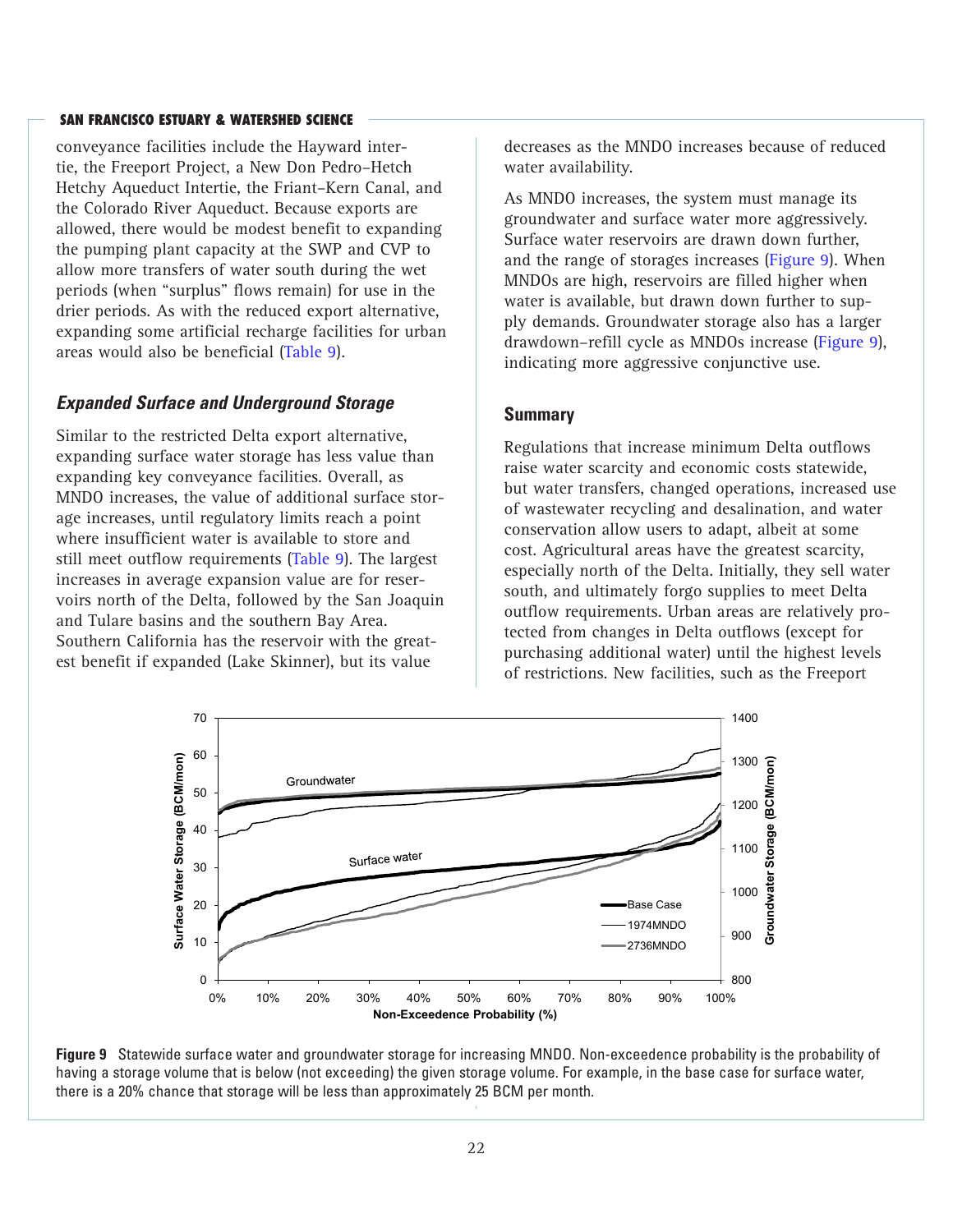conveyance facilities include the Hayward intertie, the Freeport Project, a New Don Pedro–Hetch Hetchy Aqueduct Intertie, the Friant–Kern Canal, and the Colorado River Aqueduct. Because exports are allowed, there would be modest benefit to expanding the pumping plant capacity at the SWP and CVP to allow more transfers of water south during the wet periods (when "surplus" flows remain) for use in the drier periods. As with the reduced export alternative, expanding some artificial recharge facilities for urban areas would also be beneficial (Table 9).

## *Expanded Surface and Underground Storage*

Similar to the restricted Delta export alternative, expanding surface water storage has less value than expanding key conveyance facilities. Overall, as MNDO increases, the value of additional surface storage increases, until regulatory limits reach a point where insufficient water is available to store and still meet outflow requirements (Table 9). The largest increases in average expansion value are for reservoirs north of the Delta, followed by the San Joaquin and Tulare basins and the southern Bay Area. Southern California has the reservoir with the greatest benefit if expanded (Lake Skinner), but its value

decreases as the MNDO increases because of reduced water availability.

As MNDO increases, the system must manage its groundwater and surface water more aggressively. Surface water reservoirs are drawn down further, and the range of storages increases (Figure 9). When MNDOs are high, reservoirs are filled higher when water is available, but drawn down further to supply demands. Groundwater storage also has a larger drawdown–refill cycle as MNDOs increase (Figure 9), indicating more aggressive conjunctive use.

#### **Summary**

Regulations that increase minimum Delta outflows raise water scarcity and economic costs statewide, but water transfers, changed operations, increased use of wastewater recycling and desalination, and water conservation allow users to adapt, albeit at some cost. Agricultural areas have the greatest scarcity, especially north of the Delta. Initially, they sell water south, and ultimately forgo supplies to meet Delta outflow requirements. Urban areas are relatively protected from changes in Delta outflows (except for purchasing additional water) until the highest levels of restrictions. New facilities, such as the Freeport



**Figure 9** Statewide surface water and groundwater storage for increasing MNDO. Non-exceedence probability is the probability of having a storage volume that is below (not exceeding) the given storage volume. For example, in the base case for surface water, there is a 20% chance that storage will be less than approximately 25 BCM per month.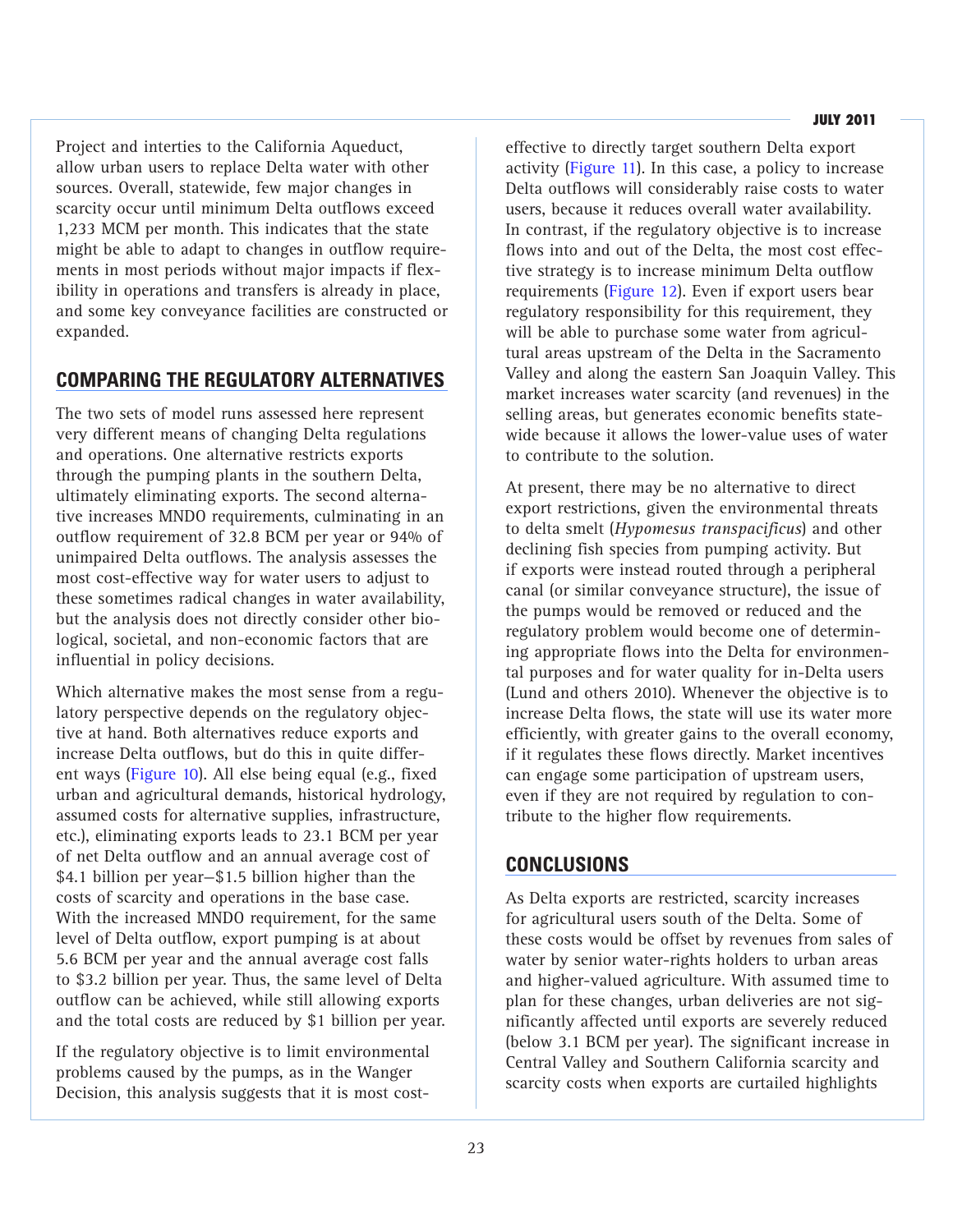Project and interties to the California Aqueduct, allow urban users to replace Delta water with other sources. Overall, statewide, few major changes in scarcity occur until minimum Delta outflows exceed 1,233 MCM per month. This indicates that the state might be able to adapt to changes in outflow requirements in most periods without major impacts if flexibility in operations and transfers is already in place, and some key conveyance facilities are constructed or expanded.

# **COMPARING THE REGULATORY ALTERNATIVES**

The two sets of model runs assessed here represent very different means of changing Delta regulations and operations. One alternative restricts exports through the pumping plants in the southern Delta, ultimately eliminating exports. The second alternative increases MNDO requirements, culminating in an outflow requirement of 32.8 BCM per year or 94% of unimpaired Delta outflows. The analysis assesses the most cost-effective way for water users to adjust to these sometimes radical changes in water availability, but the analysis does not directly consider other biological, societal, and non-economic factors that are influential in policy decisions.

Which alternative makes the most sense from a regulatory perspective depends on the regulatory objective at hand. Both alternatives reduce exports and increase Delta outflows, but do this in quite different ways (Figure 10). All else being equal (e.g., fixed urban and agricultural demands, historical hydrology, assumed costs for alternative supplies, infrastructure, etc.), eliminating exports leads to 23.1 BCM per year of net Delta outflow and an annual average cost of \$4.1 billion per year—\$1.5 billion higher than the costs of scarcity and operations in the base case. With the increased MNDO requirement, for the same level of Delta outflow, export pumping is at about 5.6 BCM per year and the annual average cost falls to \$3.2 billion per year. Thus, the same level of Delta outflow can be achieved, while still allowing exports and the total costs are reduced by \$1 billion per year.

If the regulatory objective is to limit environmental problems caused by the pumps, as in the Wanger Decision, this analysis suggests that it is most costeffective to directly target southern Delta export activity (Figure 11). In this case, a policy to increase Delta outflows will considerably raise costs to water users, because it reduces overall water availability. In contrast, if the regulatory objective is to increase flows into and out of the Delta, the most cost effective strategy is to increase minimum Delta outflow requirements (Figure 12). Even if export users bear regulatory responsibility for this requirement, they will be able to purchase some water from agricultural areas upstream of the Delta in the Sacramento Valley and along the eastern San Joaquin Valley. This market increases water scarcity (and revenues) in the selling areas, but generates economic benefits statewide because it allows the lower-value uses of water to contribute to the solution.

At present, there may be no alternative to direct export restrictions, given the environmental threats to delta smelt (*Hypomesus transpacificus*) and other declining fish species from pumping activity. But if exports were instead routed through a peripheral canal (or similar conveyance structure), the issue of the pumps would be removed or reduced and the regulatory problem would become one of determining appropriate flows into the Delta for environmental purposes and for water quality for in-Delta users (Lund and others 2010). Whenever the objective is to increase Delta flows, the state will use its water more efficiently, with greater gains to the overall economy, if it regulates these flows directly. Market incentives can engage some participation of upstream users, even if they are not required by regulation to contribute to the higher flow requirements.

# **CONCLUSIONS**

As Delta exports are restricted, scarcity increases for agricultural users south of the Delta. Some of these costs would be offset by revenues from sales of water by senior water-rights holders to urban areas and higher-valued agriculture. With assumed time to plan for these changes, urban deliveries are not significantly affected until exports are severely reduced (below 3.1 BCM per year). The significant increase in Central Valley and Southern California scarcity and scarcity costs when exports are curtailed highlights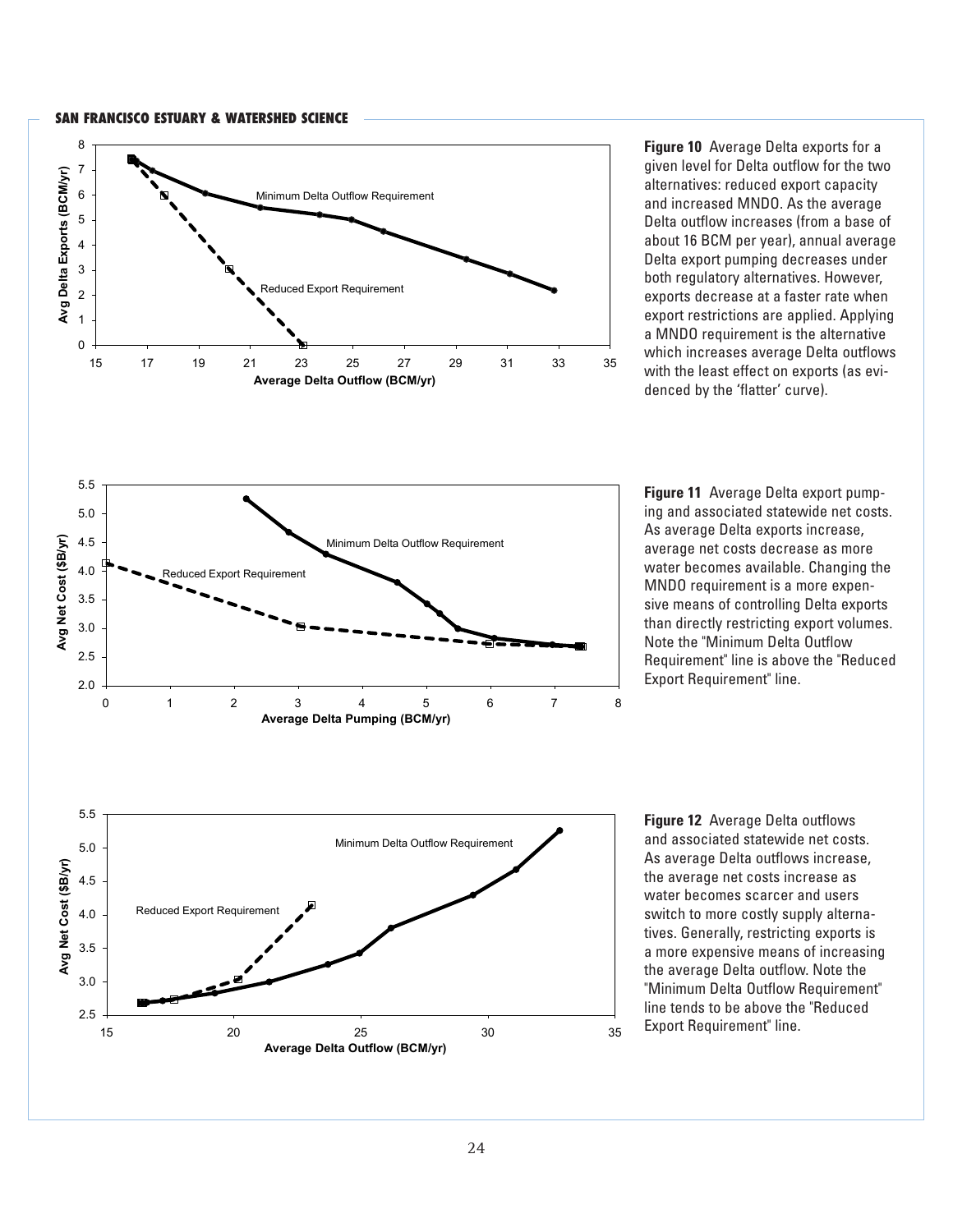

**Figure 10** Average Delta exports for a given level for Delta outflow for the two alternatives: reduced export capacity and increased MNDO. As the average Delta outflow increases (from a base of about 16 BCM per year), annual average Delta export pumping decreases under both regulatory alternatives. However, exports decrease at a faster rate when export restrictions are applied. Applying a MNDO requirement is the alternative which increases average Delta outflows with the least effect on exports (as evidenced by the 'flatter' curve).



**Figure 11** Average Delta export pumping and associated statewide net costs. As average Delta exports increase, average net costs decrease as more water becomes available. Changing the MNDO requirement is a more expensive means of controlling Delta exports than directly restricting export volumes. Note the "Minimum Delta Outflow Requirement" line is above the "Reduced Export Requirement" line.



**Figure 12** Average Delta outflows and associated statewide net costs. As average Delta outflows increase, the average net costs increase as water becomes scarcer and users switch to more costly supply alternatives. Generally, restricting exports is a more expensive means of increasing the average Delta outflow. Note the "Minimum Delta Outflow Requirement" line tends to be above the "Reduced Export Requirement" line.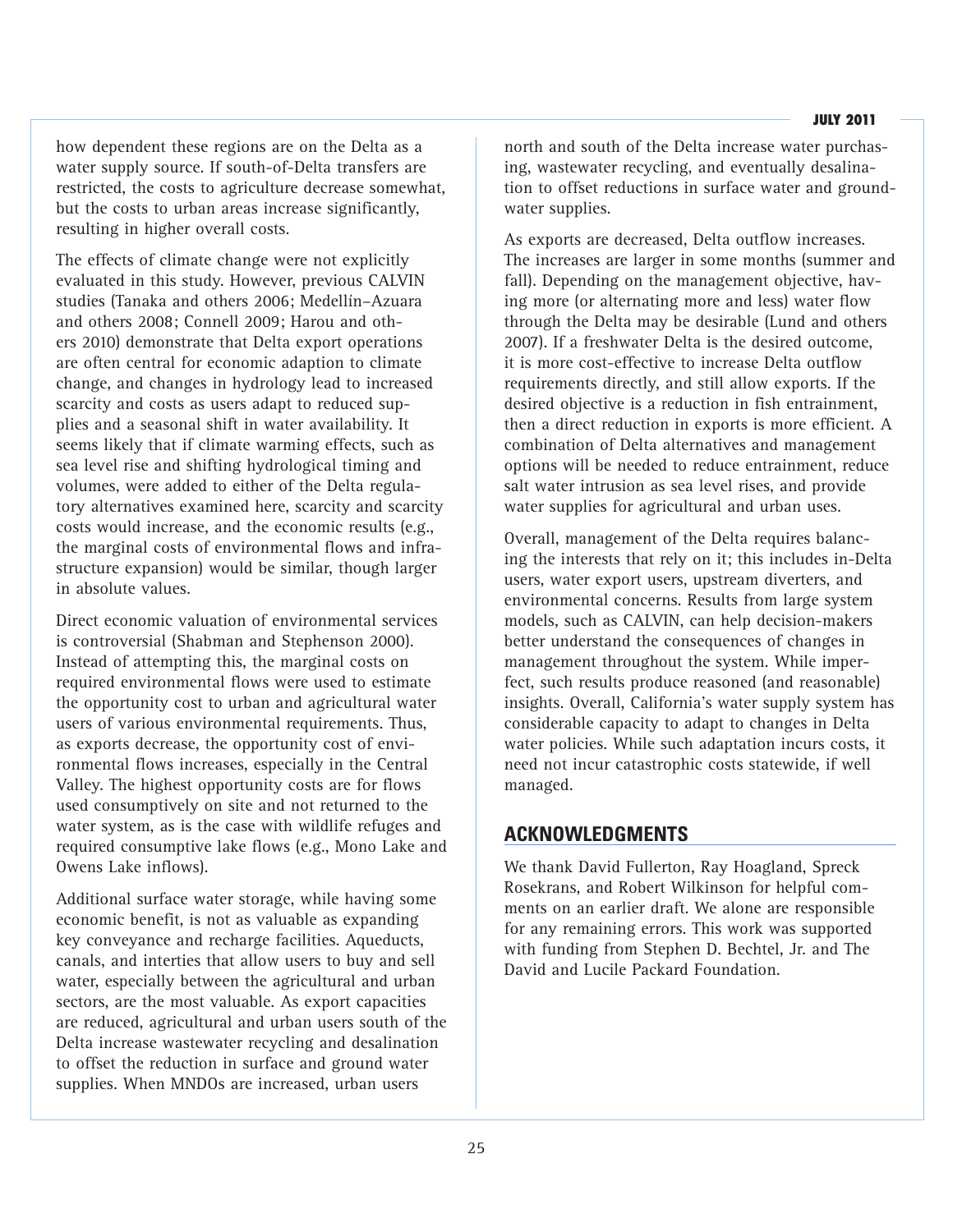how dependent these regions are on the Delta as a water supply source. If south-of-Delta transfers are restricted, the costs to agriculture decrease somewhat, but the costs to urban areas increase significantly, resulting in higher overall costs.

The effects of climate change were not explicitly evaluated in this study. However, previous CALVIN studies (Tanaka and others 2006; Medellín–Azuara and others 2008; Connell 2009; Harou and others 2010) demonstrate that Delta export operations are often central for economic adaption to climate change, and changes in hydrology lead to increased scarcity and costs as users adapt to reduced supplies and a seasonal shift in water availability. It seems likely that if climate warming effects, such as sea level rise and shifting hydrological timing and volumes, were added to either of the Delta regulatory alternatives examined here, scarcity and scarcity costs would increase, and the economic results (e.g., the marginal costs of environmental flows and infrastructure expansion) would be similar, though larger in absolute values.

Direct economic valuation of environmental services is controversial (Shabman and Stephenson 2000). Instead of attempting this, the marginal costs on required environmental flows were used to estimate the opportunity cost to urban and agricultural water users of various environmental requirements. Thus, as exports decrease, the opportunity cost of environmental flows increases, especially in the Central Valley. The highest opportunity costs are for flows used consumptively on site and not returned to the water system, as is the case with wildlife refuges and required consumptive lake flows (e.g., Mono Lake and Owens Lake inflows).

Additional surface water storage, while having some economic benefit, is not as valuable as expanding key conveyance and recharge facilities. Aqueducts, canals, and interties that allow users to buy and sell water, especially between the agricultural and urban sectors, are the most valuable. As export capacities are reduced, agricultural and urban users south of the Delta increase wastewater recycling and desalination to offset the reduction in surface and ground water supplies. When MNDOs are increased, urban users

north and south of the Delta increase water purchasing, wastewater recycling, and eventually desalination to offset reductions in surface water and groundwater supplies.

As exports are decreased, Delta outflow increases. The increases are larger in some months (summer and fall). Depending on the management objective, having more (or alternating more and less) water flow through the Delta may be desirable (Lund and others 2007). If a freshwater Delta is the desired outcome, it is more cost-effective to increase Delta outflow requirements directly, and still allow exports. If the desired objective is a reduction in fish entrainment, then a direct reduction in exports is more efficient. A combination of Delta alternatives and management options will be needed to reduce entrainment, reduce salt water intrusion as sea level rises, and provide water supplies for agricultural and urban uses.

Overall, management of the Delta requires balancing the interests that rely on it; this includes in-Delta users, water export users, upstream diverters, and environmental concerns. Results from large system models, such as CALVIN, can help decision-makers better understand the consequences of changes in management throughout the system. While imperfect, such results produce reasoned (and reasonable) insights. Overall, California's water supply system has considerable capacity to adapt to changes in Delta water policies. While such adaptation incurs costs, it need not incur catastrophic costs statewide, if well managed.

## **ACKNOWLEDGMENTS**

We thank David Fullerton, Ray Hoagland, Spreck Rosekrans, and Robert Wilkinson for helpful comments on an earlier draft. We alone are responsible for any remaining errors. This work was supported with funding from Stephen D. Bechtel, Jr. and The David and Lucile Packard Foundation.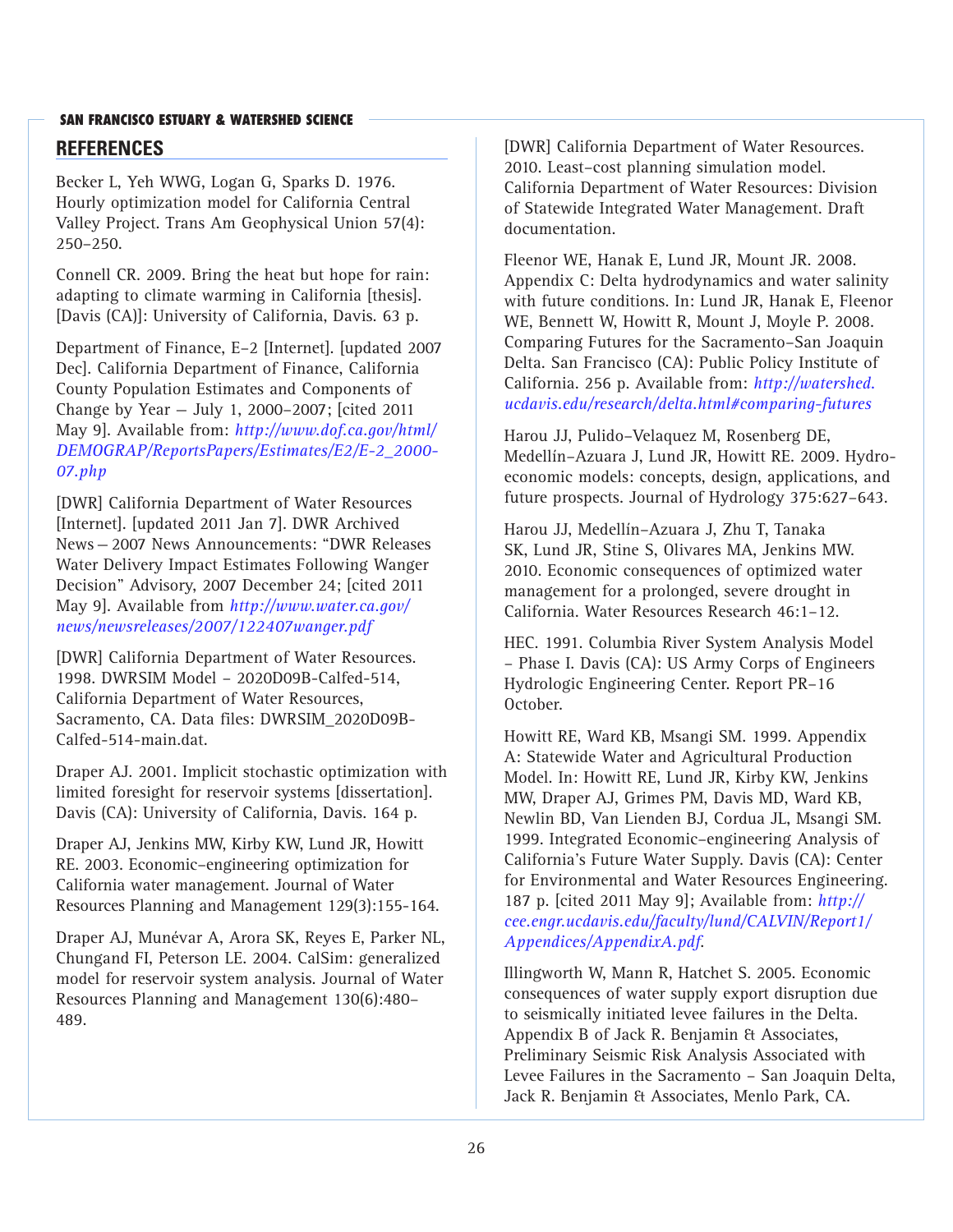## **SAN FRANCISCO ESTUARY & WATERSHED SCIENCE REFERENCES**

Becker L, Yeh WWG, Logan G, Sparks D. 1976. Hourly optimization model for California Central Valley Project. Trans Am Geophysical Union 57(4): 250–250.

Connell CR. 2009. Bring the heat but hope for rain: adapting to climate warming in California [thesis]. [Davis (CA)]: University of California, Davis. 63 p.

Department of Finance, E–2 [Internet]. [updated 2007 Dec]. California Department of Finance, California County Population Estimates and Components of Change by Year — July 1, 2000–2007; [cited 2011 May 9]. Available from: *http://www.dof.ca.gov/html/ [DEMOGRAP/ReportsPapers/Estimates/E2/E-2\\_2000-](http://www.dof.ca.gov/html/DEMOGRAP/ReportsPapers/Estimates/E2/E-2_2000-07.php) 07.php*

[DWR] California Department of Water Resources [Internet]. [updated 2011 Jan 7]. DWR Archived News—2007 News Announcements: "DWR Releases Water Delivery Impact Estimates Following Wanger Decision" Advisory, 2007 December 24; [cited 2011 May 9]. Available from *http://www.water.ca.gov/ [news/newsreleases/2007/122407wanger.pdf](http://www.water.ca.gov/)*

[DWR] California Department of Water Resources. 1998. DWRSIM Model – 2020D09B-Calfed-514, California Department of Water Resources, Sacramento, CA. Data files: DWRSIM\_2020D09B-Calfed-514-main.dat.

Draper AJ. 2001. Implicit stochastic optimization with limited foresight for reservoir systems [dissertation]. Davis (CA): University of California, Davis. 164 p.

Draper AJ, Jenkins MW, Kirby KW, Lund JR, Howitt RE. 2003. Economic–engineering optimization for California water management. Journal of Water Resources Planning and Management 129(3):155-164.

Draper AJ, Munévar A, Arora SK, Reyes E, Parker NL, Chungand FI, Peterson LE. 2004. CalSim: generalized model for reservoir system analysis. Journal of Water Resources Planning and Management 130(6):480– 489.

[DWR] California Department of Water Resources. 2010. Least–cost planning simulation model. California Department of Water Resources: Division of Statewide Integrated Water Management. Draft documentation.

Fleenor WE, Hanak E, Lund JR, Mount JR. 2008. Appendix C: Delta hydrodynamics and water salinity with future conditions. In: Lund JR, Hanak E, Fleenor WE, Bennett W, Howitt R, Mount J, Moyle P. 2008. Comparing Futures for the Sacramento–San Joaquin Delta. San Francisco (CA): Public Policy Institute of California. 256 p. Available from: *http://watershed. [ucdavis.edu/research/delta.html#comparing-futures](http://watershed.ucdavis.edu/research/delta.html#comparing-futures)*

Harou JJ, Pulido–Velaquez M, Rosenberg DE, Medellín–Azuara J, Lund JR, Howitt RE. 2009. Hydroeconomic models: concepts, design, applications, and future prospects. Journal of Hydrology 375:627–643.

Harou JJ, Medellín–Azuara J, Zhu T, Tanaka SK, Lund JR, Stine S, Olivares MA, Jenkins MW. 2010. Economic consequences of optimized water management for a prolonged, severe drought in California. Water Resources Research 46:1–12.

HEC. 1991. Columbia River System Analysis Model – Phase I. Davis (CA): US Army Corps of Engineers Hydrologic Engineering Center. Report PR–16 October.

Howitt RE, Ward KB, Msangi SM. 1999. Appendix A: Statewide Water and Agricultural Production Model. In: Howitt RE, Lund JR, Kirby KW, Jenkins MW, Draper AJ, Grimes PM, Davis MD, Ward KB, Newlin BD, Van Lienden BJ, Cordua JL, Msangi SM. 1999. Integrated Economic–engineering Analysis of California's Future Water Supply. Davis (CA): Center for Environmental and Water Resources Engineering. 187 p. [cited 2011 May 9]; Available from: *http:// [cee.engr.ucdavis.edu/faculty/lund/CALVIN/Report1/](http://cee.engr.ucdavis.edu/faculty/lund/CALVIN/Report1/Appendices/AppendixA.pdf) Appendices/AppendixA.pdf*.

Illingworth W, Mann R, Hatchet S. 2005. Economic consequences of water supply export disruption due to seismically initiated levee failures in the Delta. Appendix B of Jack R. Benjamin & Associates, Preliminary Seismic Risk Analysis Associated with Levee Failures in the Sacramento – San Joaquin Delta, Jack R. Benjamin & Associates, Menlo Park, CA.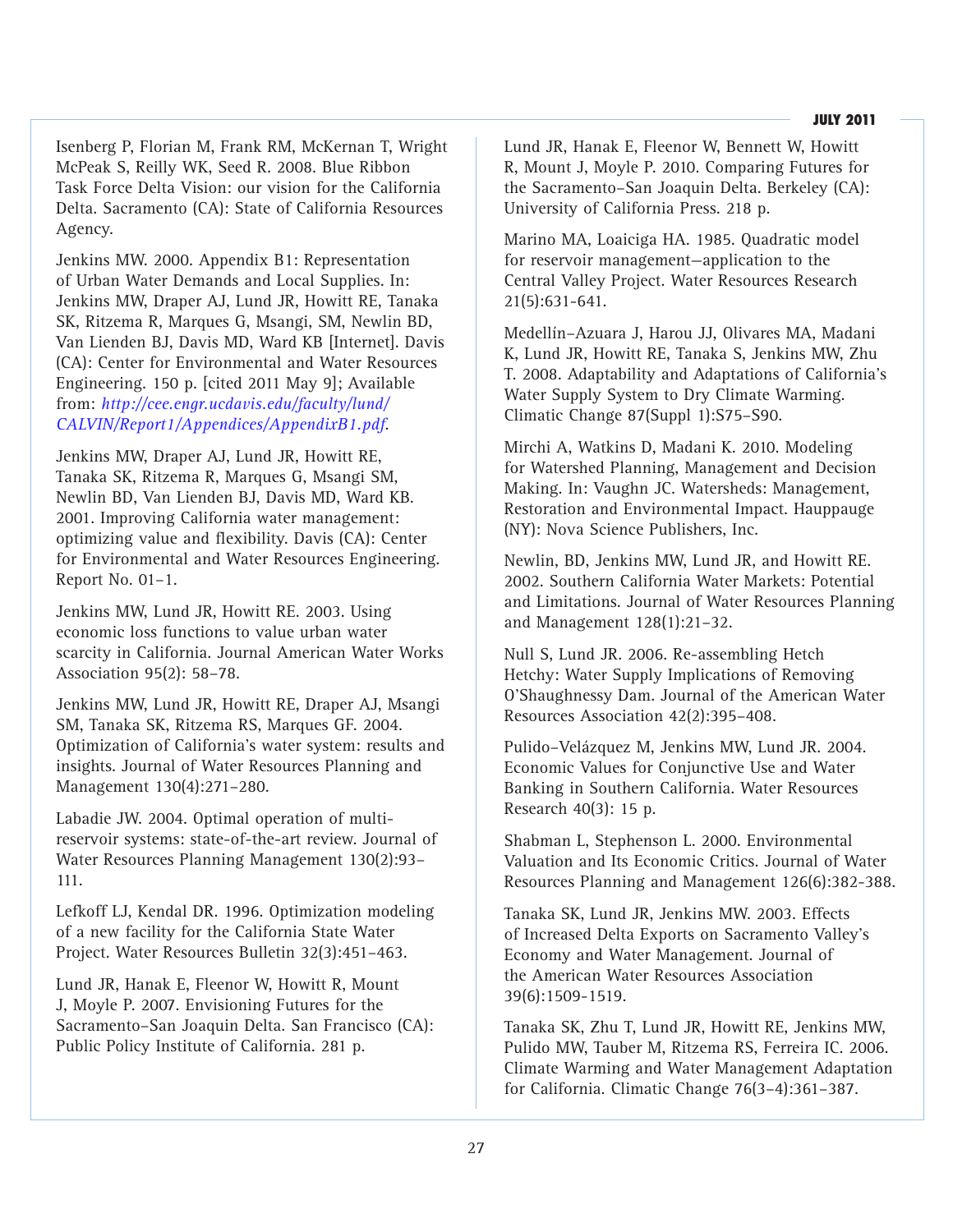Isenberg P, Florian M, Frank RM, McKernan T, Wright McPeak S, Reilly WK, Seed R. 2008. Blue Ribbon Task Force Delta Vision: our vision for the California Delta. Sacramento (CA): State of California Resources Agency.

Jenkins MW. 2000. Appendix B1: Representation of Urban Water Demands and Local Supplies. In: Jenkins MW, Draper AJ, Lund JR, Howitt RE, Tanaka SK, Ritzema R, Marques G, Msangi, SM, Newlin BD, Van Lienden BJ, Davis MD, Ward KB [Internet]. Davis (CA): Center for Environmental and Water Resources Engineering. 150 p. [cited 2011 May 9]; Available from: *http://cee.engr.ucdavis.edu/faculty/lund/ [CALVIN/Report1/Appendices/AppendixB1.pdf](http://cee.engr.ucdavis.edu/faculty/lund/CALVIN/Report1/Appendices/AppendixB1.pdf)*.

Jenkins MW, Draper AJ, Lund JR, Howitt RE, Tanaka SK, Ritzema R, Marques G, Msangi SM, Newlin BD, Van Lienden BJ, Davis MD, Ward KB. 2001. Improving California water management: optimizing value and flexibility. Davis (CA): Center for Environmental and Water Resources Engineering. Report No. 01–1.

Jenkins MW, Lund JR, Howitt RE. 2003. Using economic loss functions to value urban water scarcity in California. Journal American Water Works Association 95(2): 58–78.

Jenkins MW, Lund JR, Howitt RE, Draper AJ, Msangi SM, Tanaka SK, Ritzema RS, Marques GF. 2004. Optimization of California's water system: results and insights. Journal of Water Resources Planning and Management 130(4):271–280.

Labadie JW. 2004. Optimal operation of multireservoir systems: state-of-the-art review. Journal of Water Resources Planning Management 130(2):93– 111.

Lefkoff LJ, Kendal DR. 1996. Optimization modeling of a new facility for the California State Water Project. Water Resources Bulletin 32(3):451–463.

Lund JR, Hanak E, Fleenor W, Howitt R, Mount J, Moyle P. 2007. Envisioning Futures for the Sacramento–San Joaquin Delta. San Francisco (CA): Public Policy Institute of California. 281 p.

Lund JR, Hanak E, Fleenor W, Bennett W, Howitt R, Mount J, Moyle P. 2010. Comparing Futures for the Sacramento–San Joaquin Delta. Berkeley (CA): University of California Press. 218 p.

Marino MA, Loaiciga HA. 1985. Quadratic model for reservoir management—application to the Central Valley Project. Water Resources Research 21(5):631-641.

Medellín–Azuara J, Harou JJ, Olivares MA, Madani K, Lund JR, Howitt RE, Tanaka S, Jenkins MW, Zhu T. 2008. Adaptability and Adaptations of California's Water Supply System to Dry Climate Warming. Climatic Change 87(Suppl 1):S75–S90.

Mirchi A, Watkins D, Madani K. 2010. Modeling for Watershed Planning, Management and Decision Making. In: Vaughn JC. Watersheds: Management, Restoration and Environmental Impact. Hauppauge (NY): Nova Science Publishers, Inc.

Newlin, BD, Jenkins MW, Lund JR, and Howitt RE. 2002. Southern California Water Markets: Potential and Limitations. Journal of Water Resources Planning and Management 128(1):21–32.

Null S, Lund JR. 2006. Re-assembling Hetch Hetchy: Water Supply Implications of Removing O'Shaughnessy Dam. Journal of the American Water Resources Association 42(2):395–408.

Pulido–Velázquez M, Jenkins MW, Lund JR. 2004. Economic Values for Conjunctive Use and Water Banking in Southern California. Water Resources Research 40(3): 15 p.

Shabman L, Stephenson L. 2000. Environmental Valuation and Its Economic Critics. Journal of Water Resources Planning and Management 126(6):382-388.

Tanaka SK, Lund JR, Jenkins MW. 2003. Effects of Increased Delta Exports on Sacramento Valley's Economy and Water Management. Journal of the American Water Resources Association 39(6):1509-1519.

Tanaka SK, Zhu T, Lund JR, Howitt RE, Jenkins MW, Pulido MW, Tauber M, Ritzema RS, Ferreira IC. 2006. Climate Warming and Water Management Adaptation for California. Climatic Change 76(3–4):361–387.